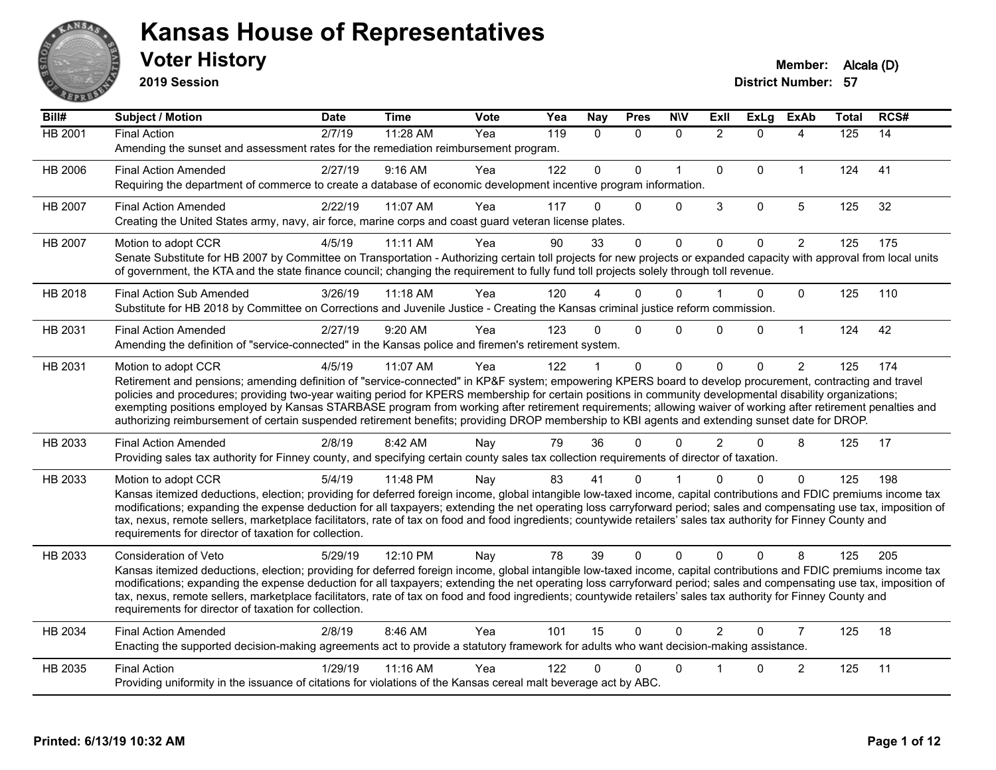

**2019 Session**

| Bill#          | Subject / Motion                                                                                                                                                                                                                                                                                                                                                                                                                                                                                                                                                                                                                                                   | <b>Date</b> | <b>Time</b> | <b>Vote</b> | Yea | <b>Nay</b>   | <b>Pres</b> | <b>N\V</b>   | <b>Exll</b>    | <b>ExLg</b> | <b>ExAb</b>    | <b>Total</b> | RCS# |
|----------------|--------------------------------------------------------------------------------------------------------------------------------------------------------------------------------------------------------------------------------------------------------------------------------------------------------------------------------------------------------------------------------------------------------------------------------------------------------------------------------------------------------------------------------------------------------------------------------------------------------------------------------------------------------------------|-------------|-------------|-------------|-----|--------------|-------------|--------------|----------------|-------------|----------------|--------------|------|
| <b>HB 2001</b> | <b>Final Action</b><br>Amending the sunset and assessment rates for the remediation reimbursement program.                                                                                                                                                                                                                                                                                                                                                                                                                                                                                                                                                         | 2/7/19      | 11:28 AM    | Yea         | 119 | $\mathbf{0}$ | $\Omega$    | $\Omega$     | $\overline{2}$ | $\Omega$    | 4              | 125          | 14   |
| HB 2006        | <b>Final Action Amended</b><br>Requiring the department of commerce to create a database of economic development incentive program information.                                                                                                                                                                                                                                                                                                                                                                                                                                                                                                                    | 2/27/19     | $9:16$ AM   | Yea         | 122 | $\Omega$     | $\Omega$    | $\mathbf{1}$ | $\Omega$       | $\Omega$    | $\mathbf{1}$   | 124          | 41   |
| HB 2007        | <b>Final Action Amended</b><br>Creating the United States army, navy, air force, marine corps and coast guard veteran license plates.                                                                                                                                                                                                                                                                                                                                                                                                                                                                                                                              | 2/22/19     | 11:07 AM    | Yea         | 117 | $\Omega$     | $\Omega$    | $\Omega$     | 3              | $\Omega$    | $\overline{5}$ | 125          | 32   |
| HB 2007        | Motion to adopt CCR<br>Senate Substitute for HB 2007 by Committee on Transportation - Authorizing certain toll projects for new projects or expanded capacity with approval from local units<br>of government, the KTA and the state finance council; changing the requirement to fully fund toll projects solely through toll revenue.                                                                                                                                                                                                                                                                                                                            | 4/5/19      | 11:11 AM    | Yea         | 90  | 33           | $\Omega$    | $\Omega$     | $\Omega$       | $\Omega$    | $\overline{2}$ | 125          | 175  |
| HB 2018        | <b>Final Action Sub Amended</b><br>Substitute for HB 2018 by Committee on Corrections and Juvenile Justice - Creating the Kansas criminal justice reform commission.                                                                                                                                                                                                                                                                                                                                                                                                                                                                                               | 3/26/19     | $11:18$ AM  | Yea         | 120 |              | $\Omega$    | $\Omega$     |                | 0           | $\mathbf 0$    | 125          | 110  |
| HB 2031        | <b>Final Action Amended</b><br>Amending the definition of "service-connected" in the Kansas police and firemen's retirement system.                                                                                                                                                                                                                                                                                                                                                                                                                                                                                                                                | 2/27/19     | 9:20 AM     | Yea         | 123 | $\Omega$     | $\Omega$    | $\Omega$     | 0              | $\Omega$    | $\mathbf{1}$   | 124          | 42   |
| HB 2031        | Motion to adopt CCR<br>Retirement and pensions; amending definition of "service-connected" in KP&F system; empowering KPERS board to develop procurement, contracting and travel<br>policies and procedures; providing two-year waiting period for KPERS membership for certain positions in community developmental disability organizations;<br>exempting positions employed by Kansas STARBASE program from working after retirement requirements; allowing waiver of working after retirement penalties and<br>authorizing reimbursement of certain suspended retirement benefits; providing DROP membership to KBI agents and extending sunset date for DROP. | 4/5/19      | 11:07 AM    | Yea         | 122 |              | $\mathbf 0$ | $\Omega$     | $\Omega$       | $\Omega$    | $\overline{2}$ | 125          | 174  |
| HB 2033        | <b>Final Action Amended</b><br>Providing sales tax authority for Finney county, and specifying certain county sales tax collection requirements of director of taxation.                                                                                                                                                                                                                                                                                                                                                                                                                                                                                           | 2/8/19      | 8:42 AM     | Nay         | 79  | 36           | $\Omega$    | $\mathbf{0}$ | $\overline{2}$ | $\Omega$    | 8              | 125          | 17   |
| HB 2033        | Motion to adopt CCR<br>Kansas itemized deductions, election; providing for deferred foreign income, global intangible low-taxed income, capital contributions and FDIC premiums income tax<br>modifications; expanding the expense deduction for all taxpayers; extending the net operating loss carryforward period; sales and compensating use tax, imposition of<br>tax, nexus, remote sellers, marketplace facilitators, rate of tax on food and food ingredients; countywide retailers' sales tax authority for Finney County and<br>requirements for director of taxation for collection.                                                                    | 5/4/19      | 11:48 PM    | Nay         | 83  | 41           | 0           |              |                | 0           | $\Omega$       | 125          | 198  |
| HB 2033        | Consideration of Veto<br>Kansas itemized deductions, election; providing for deferred foreign income, global intangible low-taxed income, capital contributions and FDIC premiums income tax<br>modifications; expanding the expense deduction for all taxpayers; extending the net operating loss carryforward period; sales and compensating use tax, imposition of<br>tax, nexus, remote sellers, marketplace facilitators, rate of tax on food and food ingredients; countywide retailers' sales tax authority for Finney County and<br>requirements for director of taxation for collection.                                                                  | 5/29/19     | 12:10 PM    | Nay         | 78  | 39           | $\Omega$    | $\Omega$     | $\Omega$       | $\Omega$    | 8              | 125          | 205  |
| HB 2034        | <b>Final Action Amended</b><br>Enacting the supported decision-making agreements act to provide a statutory framework for adults who want decision-making assistance.                                                                                                                                                                                                                                                                                                                                                                                                                                                                                              | 2/8/19      | 8:46 AM     | Yea         | 101 | 15           | $\Omega$    | $\Omega$     | $\mathcal{P}$  | $\Omega$    | $\overline{7}$ | 125          | 18   |
| HB 2035        | <b>Final Action</b><br>Providing uniformity in the issuance of citations for violations of the Kansas cereal malt beverage act by ABC.                                                                                                                                                                                                                                                                                                                                                                                                                                                                                                                             | 1/29/19     | 11:16 AM    | Yea         | 122 | 0            | $\Omega$    | $\mathbf{0}$ |                | 0           | $\overline{c}$ | 125          | 11   |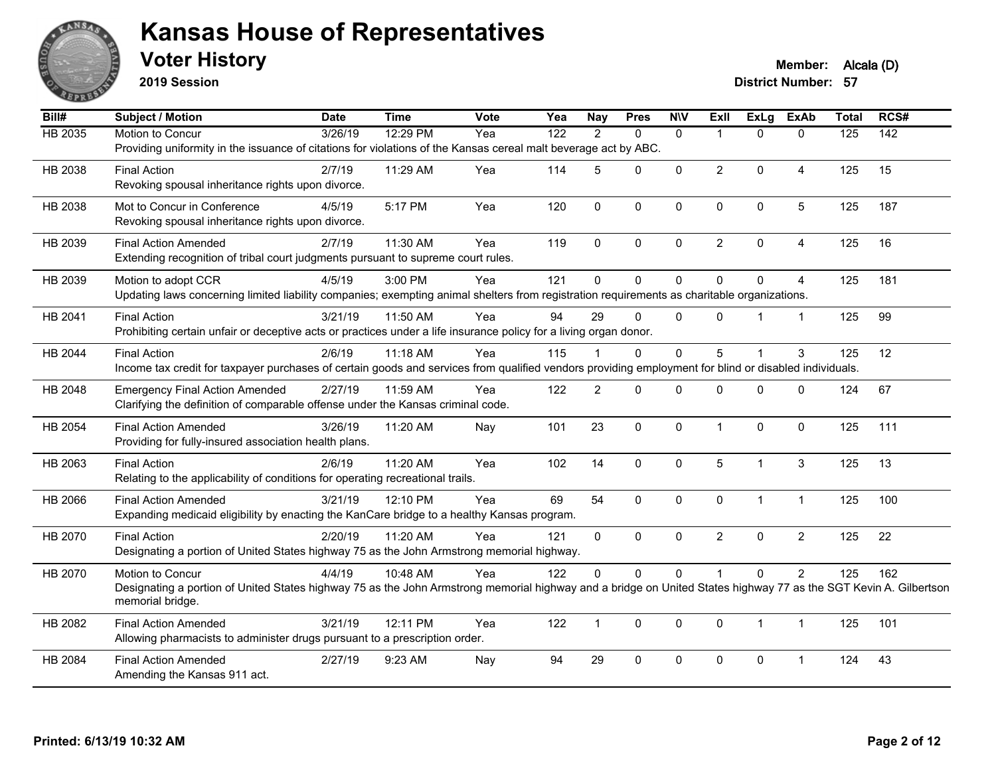

**2019 Session**

**Voter History Member: Alcala (D)** 

| Bill#   | <b>Subject / Motion</b>                                                                                                                                          | <b>Date</b> | <b>Time</b> | Vote | Yea              | <b>Nay</b>     | <b>Pres</b>  | <b>NIV</b>   | ExII           | <b>ExLg</b>    | <b>ExAb</b>    | <b>Total</b>     | RCS#             |
|---------|------------------------------------------------------------------------------------------------------------------------------------------------------------------|-------------|-------------|------|------------------|----------------|--------------|--------------|----------------|----------------|----------------|------------------|------------------|
| HB 2035 | Motion to Concur                                                                                                                                                 | 3/26/19     | 12:29 PM    | Yea  | $\overline{122}$ | 2              | $\Omega$     | $\mathbf{0}$ |                | $\Omega$       | $\Omega$       | $\overline{125}$ | $\overline{142}$ |
|         | Providing uniformity in the issuance of citations for violations of the Kansas cereal malt beverage act by ABC.                                                  |             |             |      |                  |                |              |              |                |                |                |                  |                  |
| HB 2038 | <b>Final Action</b>                                                                                                                                              | 2/7/19      | 11:29 AM    | Yea  | 114              | 5              | $\Omega$     | 0            | $\overline{2}$ | $\mathbf{0}$   | 4              | 125              | 15               |
|         | Revoking spousal inheritance rights upon divorce.                                                                                                                |             |             |      |                  |                |              |              |                |                |                |                  |                  |
| HB 2038 | Mot to Concur in Conference                                                                                                                                      | 4/5/19      | 5:17 PM     | Yea  | 120              | $\mathbf 0$    | $\mathbf 0$  | $\mathbf 0$  | $\mathbf 0$    | $\mathbf 0$    | 5              | 125              | 187              |
|         | Revoking spousal inheritance rights upon divorce.                                                                                                                |             |             |      |                  |                |              |              |                |                |                |                  |                  |
| HB 2039 | <b>Final Action Amended</b>                                                                                                                                      | 2/7/19      | 11:30 AM    | Yea  | 119              | $\Omega$       | $\mathbf{0}$ | $\Omega$     | $\overline{2}$ | $\mathbf{0}$   | 4              | 125              | 16               |
|         | Extending recognition of tribal court judgments pursuant to supreme court rules.                                                                                 |             |             |      |                  |                |              |              |                |                |                |                  |                  |
| HB 2039 | Motion to adopt CCR                                                                                                                                              | 4/5/19      | 3:00 PM     | Yea  | 121              | $\mathbf 0$    | $\mathbf 0$  | $\mathbf 0$  | $\Omega$       | $\mathbf 0$    | 4              | 125              | 181              |
|         | Updating laws concerning limited liability companies; exempting animal shelters from registration requirements as charitable organizations.                      |             |             |      |                  |                |              |              |                |                |                |                  |                  |
| HB 2041 | <b>Final Action</b>                                                                                                                                              | 3/21/19     | 11:50 AM    | Yea  | 94               | 29             | $\Omega$     | $\Omega$     | $\Omega$       |                | $\mathbf{1}$   | 125              | 99               |
|         | Prohibiting certain unfair or deceptive acts or practices under a life insurance policy for a living organ donor.                                                |             |             |      |                  |                |              |              |                |                |                |                  |                  |
| HB 2044 | <b>Final Action</b>                                                                                                                                              | 2/6/19      | 11:18 AM    | Yea  | 115              |                | $\Omega$     | 0            | 5              |                | 3              | 125              | 12               |
|         | Income tax credit for taxpayer purchases of certain goods and services from qualified vendors providing employment for blind or disabled individuals.            |             |             |      |                  |                |              |              |                |                |                |                  |                  |
| HB 2048 | <b>Emergency Final Action Amended</b>                                                                                                                            | 2/27/19     | 11:59 AM    | Yea  | 122              | $\overline{2}$ | $\Omega$     | $\mathbf{0}$ | $\Omega$       | $\Omega$       | $\Omega$       | 124              | 67               |
|         | Clarifying the definition of comparable offense under the Kansas criminal code.                                                                                  |             |             |      |                  |                |              |              |                |                |                |                  |                  |
| HB 2054 | <b>Final Action Amended</b>                                                                                                                                      | 3/26/19     | 11:20 AM    | Nay  | 101              | 23             | $\mathbf 0$  | $\mathbf 0$  | 1              | $\mathbf 0$    | $\mathbf 0$    | 125              | 111              |
|         | Providing for fully-insured association health plans.                                                                                                            |             |             |      |                  |                |              |              |                |                |                |                  |                  |
| HB 2063 | <b>Final Action</b>                                                                                                                                              | 2/6/19      | 11:20 AM    | Yea  | 102              | 14             | $\mathbf 0$  | 0            | 5              | $\mathbf{1}$   | 3              | 125              | 13               |
|         | Relating to the applicability of conditions for operating recreational trails.                                                                                   |             |             |      |                  |                |              |              |                |                |                |                  |                  |
| HB 2066 | <b>Final Action Amended</b>                                                                                                                                      | 3/21/19     | 12:10 PM    | Yea  | 69               | 54             | $\mathbf{0}$ | 0            | $\mathbf{0}$   | $\overline{1}$ | $\mathbf{1}$   | 125              | 100              |
|         | Expanding medicaid eligibility by enacting the KanCare bridge to a healthy Kansas program.                                                                       |             |             |      |                  |                |              |              |                |                |                |                  |                  |
| HB 2070 | <b>Final Action</b>                                                                                                                                              | 2/20/19     | $11:20$ AM  | Yea  | 121              | $\mathbf{0}$   | $\mathbf{0}$ | $\Omega$     | $\overline{2}$ | $\Omega$       | $\overline{2}$ | 125              | 22               |
|         | Designating a portion of United States highway 75 as the John Armstrong memorial highway.                                                                        |             |             |      |                  |                |              |              |                |                |                |                  |                  |
| HB 2070 | Motion to Concur                                                                                                                                                 | 4/4/19      | 10:48 AM    | Yea  | 122              | $\mathbf 0$    | $\mathbf{0}$ | 0            |                | $\mathbf 0$    | $\overline{2}$ | 125              | 162              |
|         | Designating a portion of United States highway 75 as the John Armstrong memorial highway and a bridge on United States highway 77 as the SGT Kevin A. Gilbertson |             |             |      |                  |                |              |              |                |                |                |                  |                  |
|         | memorial bridge.                                                                                                                                                 |             |             |      |                  |                |              |              |                |                |                |                  |                  |
| HB 2082 | <b>Final Action Amended</b>                                                                                                                                      | 3/21/19     | 12:11 PM    | Yea  | 122              | $\mathbf{1}$   | $\mathbf{0}$ | 0            | $\Omega$       | $\overline{1}$ | $\mathbf{1}$   | 125              | 101              |
|         | Allowing pharmacists to administer drugs pursuant to a prescription order.                                                                                       |             |             |      |                  |                |              |              |                |                |                |                  |                  |
| HB 2084 | <b>Final Action Amended</b>                                                                                                                                      | 2/27/19     | 9:23 AM     | Nay  | 94               | 29             | $\mathbf 0$  | 0            | $\Omega$       | $\pmb{0}$      | 1              | 124              | 43               |
|         | Amending the Kansas 911 act.                                                                                                                                     |             |             |      |                  |                |              |              |                |                |                |                  |                  |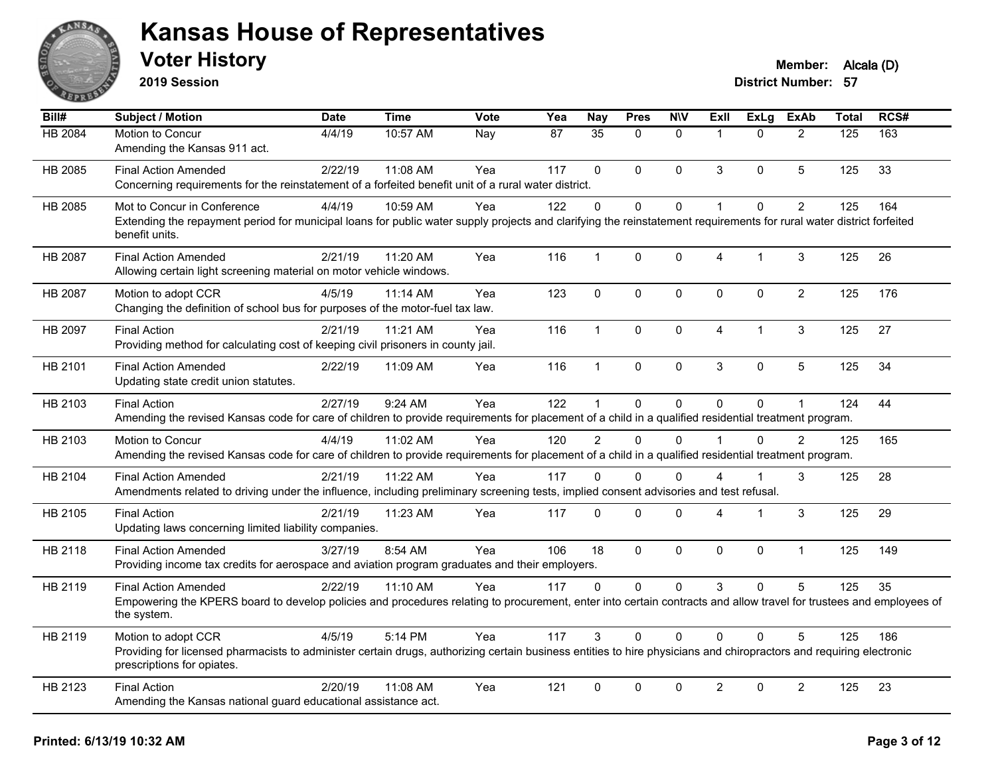

**2019 Session**

| $\overline{BiII#}$ | Subject / Motion                                                                                                                                                                                  | <b>Date</b> | <b>Time</b> | <b>Vote</b> | Yea | <b>Nay</b>    | <b>Pres</b> | <b>NIV</b>   | ExII           | <b>ExLg</b> | <b>ExAb</b>    | <b>Total</b> | RCS# |
|--------------------|---------------------------------------------------------------------------------------------------------------------------------------------------------------------------------------------------|-------------|-------------|-------------|-----|---------------|-------------|--------------|----------------|-------------|----------------|--------------|------|
| HB 2084            | Motion to Concur                                                                                                                                                                                  | 4/4/19      | 10:57 AM    | Nay         | 87  | 35            | $\Omega$    | $\mathbf{0}$ | $\overline{1}$ | $\Omega$    | $\overline{2}$ | 125          | 163  |
|                    | Amending the Kansas 911 act.                                                                                                                                                                      |             |             |             |     |               |             |              |                |             |                |              |      |
| HB 2085            | <b>Final Action Amended</b>                                                                                                                                                                       | 2/22/19     | 11:08 AM    | Yea         | 117 | $\Omega$      | $\Omega$    | $\mathbf{0}$ | 3              | $\Omega$    | 5              | 125          | 33   |
|                    | Concerning requirements for the reinstatement of a forfeited benefit unit of a rural water district.                                                                                              |             |             |             |     |               |             |              |                |             |                |              |      |
| HB 2085            | Mot to Concur in Conference                                                                                                                                                                       | 4/4/19      | 10:59 AM    | Yea         | 122 | $\Omega$      | $\Omega$    | $\mathbf 0$  | $\mathbf{1}$   | $\Omega$    | $\overline{2}$ | 125          | 164  |
|                    | Extending the repayment period for municipal loans for public water supply projects and clarifying the reinstatement requirements for rural water district forfeited<br>benefit units.            |             |             |             |     |               |             |              |                |             |                |              |      |
| HB 2087            | <b>Final Action Amended</b>                                                                                                                                                                       | 2/21/19     | 11:20 AM    | Yea         | 116 | 1             | $\mathbf 0$ | 0            | 4              | 1           | 3              | 125          | 26   |
|                    | Allowing certain light screening material on motor vehicle windows.                                                                                                                               |             |             |             |     |               |             |              |                |             |                |              |      |
| HB 2087            | Motion to adopt CCR                                                                                                                                                                               | 4/5/19      | 11:14 AM    | Yea         | 123 | $\mathbf 0$   | $\mathbf 0$ | $\pmb{0}$    | $\pmb{0}$      | 0           | $\overline{2}$ | 125          | 176  |
|                    | Changing the definition of school bus for purposes of the motor-fuel tax law.                                                                                                                     |             |             |             |     |               |             |              |                |             |                |              |      |
| HB 2097            | <b>Final Action</b>                                                                                                                                                                               | 2/21/19     | 11:21 AM    | Yea         | 116 | $\mathbf{1}$  | $\mathbf 0$ | $\pmb{0}$    | $\overline{4}$ | 1           | 3              | 125          | 27   |
|                    | Providing method for calculating cost of keeping civil prisoners in county jail.                                                                                                                  |             |             |             |     |               |             |              |                |             |                |              |      |
| HB 2101            | <b>Final Action Amended</b>                                                                                                                                                                       | 2/22/19     | 11:09 AM    | Yea         | 116 | $\mathbf{1}$  | 0           | $\pmb{0}$    | 3              | $\mathbf 0$ | 5              | 125          | 34   |
|                    | Updating state credit union statutes.                                                                                                                                                             |             |             |             |     |               |             |              |                |             |                |              |      |
| HB 2103            | <b>Final Action</b>                                                                                                                                                                               | 2/27/19     | 9:24 AM     | Yea         | 122 | 1             | $\Omega$    | $\mathbf{0}$ | $\Omega$       | $\Omega$    | $\mathbf{1}$   | 124          | 44   |
|                    | Amending the revised Kansas code for care of children to provide requirements for placement of a child in a qualified residential treatment program.                                              |             |             |             |     |               |             |              |                |             |                |              |      |
| HB 2103            | Motion to Concur                                                                                                                                                                                  | 4/4/19      | 11:02 AM    | Yea         | 120 | $\mathcal{P}$ | $\Omega$    | $\Omega$     | $\overline{1}$ | $\Omega$    | $\overline{2}$ | 125          | 165  |
|                    | Amending the revised Kansas code for care of children to provide requirements for placement of a child in a qualified residential treatment program.                                              |             |             |             |     |               |             |              |                |             |                |              |      |
| HB 2104            | <b>Final Action Amended</b>                                                                                                                                                                       | 2/21/19     | 11:22 AM    | Yea         | 117 | $\Omega$      | $\Omega$    | $\Omega$     | 4              |             | 3              | 125          | 28   |
|                    | Amendments related to driving under the influence, including preliminary screening tests, implied consent advisories and test refusal.                                                            |             |             |             |     |               |             |              |                |             |                |              |      |
| HB 2105            | <b>Final Action</b>                                                                                                                                                                               | 2/21/19     | 11:23 AM    | Yea         | 117 | $\Omega$      | $\Omega$    | $\mathbf 0$  | 4              | 1           | 3              | 125          | 29   |
|                    | Updating laws concerning limited liability companies.                                                                                                                                             |             |             |             |     |               |             |              |                |             |                |              |      |
| HB 2118            | <b>Final Action Amended</b>                                                                                                                                                                       | 3/27/19     | 8:54 AM     | Yea         | 106 | 18            | $\Omega$    | $\mathbf{0}$ | $\Omega$       | $\Omega$    | $\mathbf{1}$   | 125          | 149  |
|                    | Providing income tax credits for aerospace and aviation program graduates and their employers.                                                                                                    |             |             |             |     |               |             |              |                |             |                |              |      |
| HB 2119            | <b>Final Action Amended</b>                                                                                                                                                                       | 2/22/19     | 11:10 AM    | Yea         | 117 | $\Omega$      | $\Omega$    | $\mathbf 0$  | 3              | $\Omega$    | 5              | 125          | 35   |
|                    | Empowering the KPERS board to develop policies and procedures relating to procurement, enter into certain contracts and allow travel for trustees and employees of<br>the system.                 |             |             |             |     |               |             |              |                |             |                |              |      |
| HB 2119            | Motion to adopt CCR                                                                                                                                                                               | 4/5/19      | 5:14 PM     | Yea         | 117 | 3             | $\Omega$    | $\Omega$     | $\Omega$       | $\Omega$    | 5              | 125          | 186  |
|                    | Providing for licensed pharmacists to administer certain drugs, authorizing certain business entities to hire physicians and chiropractors and requiring electronic<br>prescriptions for opiates. |             |             |             |     |               |             |              |                |             |                |              |      |
| HB 2123            | <b>Final Action</b>                                                                                                                                                                               | 2/20/19     | 11:08 AM    | Yea         | 121 | $\mathbf{0}$  | $\Omega$    | $\mathbf{0}$ | $\overline{c}$ | $\Omega$    | $\overline{2}$ | 125          | 23   |
|                    | Amending the Kansas national guard educational assistance act.                                                                                                                                    |             |             |             |     |               |             |              |                |             |                |              |      |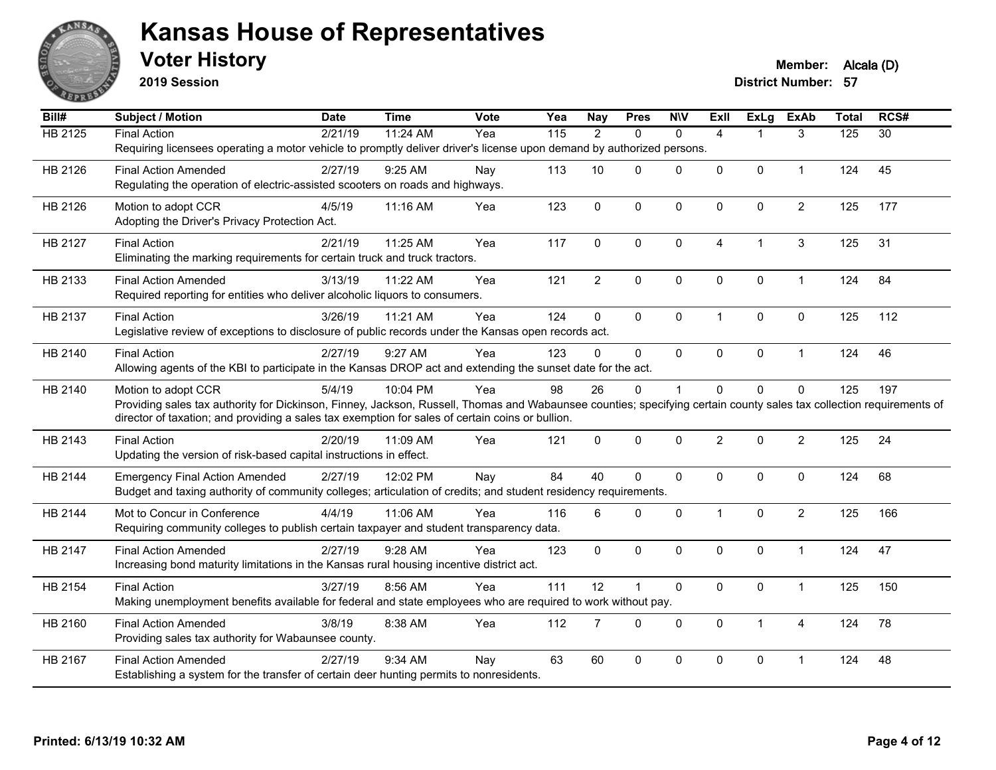

**2019 Session**

| Bill#          | <b>Subject / Motion</b>                                                                                                                                              | <b>Date</b> | <b>Time</b> | Vote | Yea               | <b>Nay</b>     | <b>Pres</b>  | <b>NIV</b>   | <b>Exll</b>    | <b>ExLg</b>    | <b>ExAb</b>    | <b>Total</b> | RCS#            |
|----------------|----------------------------------------------------------------------------------------------------------------------------------------------------------------------|-------------|-------------|------|-------------------|----------------|--------------|--------------|----------------|----------------|----------------|--------------|-----------------|
| <b>HB 2125</b> | <b>Final Action</b>                                                                                                                                                  | 2/21/19     | 11:24 AM    | Yea  | $\frac{115}{115}$ | $\overline{2}$ | $\mathbf{0}$ | $\mathbf{0}$ | $\overline{4}$ | 1              | 3              | 125          | $\overline{30}$ |
|                | Requiring licensees operating a motor vehicle to promptly deliver driver's license upon demand by authorized persons.                                                |             |             |      |                   |                |              |              |                |                |                |              |                 |
| HB 2126        | <b>Final Action Amended</b>                                                                                                                                          | 2/27/19     | 9:25 AM     | Nay  | 113               | 10             | $\Omega$     | $\mathbf 0$  | 0              | 0              | $\mathbf{1}$   | 124          | 45              |
|                | Regulating the operation of electric-assisted scooters on roads and highways.                                                                                        |             |             |      |                   |                |              |              |                |                |                |              |                 |
| HB 2126        | Motion to adopt CCR                                                                                                                                                  | 4/5/19      | 11:16 AM    | Yea  | 123               | $\mathbf{0}$   | $\Omega$     | $\mathbf{0}$ | $\mathbf{0}$   | $\mathbf 0$    | $\overline{2}$ | 125          | 177             |
|                | Adopting the Driver's Privacy Protection Act.                                                                                                                        |             |             |      |                   |                |              |              |                |                |                |              |                 |
| HB 2127        | <b>Final Action</b>                                                                                                                                                  | 2/21/19     | 11:25 AM    | Yea  | 117               | $\Omega$       | $\Omega$     | $\mathbf{0}$ | 4              | $\overline{1}$ | 3              | 125          | 31              |
|                | Eliminating the marking requirements for certain truck and truck tractors.                                                                                           |             |             |      |                   |                |              |              |                |                |                |              |                 |
|                |                                                                                                                                                                      |             |             |      |                   |                |              |              |                |                |                |              |                 |
| HB 2133        | <b>Final Action Amended</b>                                                                                                                                          | 3/13/19     | 11:22 AM    | Yea  | 121               | $\overline{2}$ | $\mathbf 0$  | 0            | $\mathbf 0$    | 0              | $\mathbf{1}$   | 124          | 84              |
|                | Required reporting for entities who deliver alcoholic liquors to consumers.                                                                                          |             |             |      |                   |                |              |              |                |                |                |              |                 |
| HB 2137        | <b>Final Action</b>                                                                                                                                                  | 3/26/19     | 11:21 AM    | Yea  | 124               | 0              | $\mathbf 0$  | $\mathbf 0$  | $\mathbf{1}$   | $\mathbf 0$    | 0              | 125          | 112             |
|                | Legislative review of exceptions to disclosure of public records under the Kansas open records act.                                                                  |             |             |      |                   |                |              |              |                |                |                |              |                 |
| HB 2140        | <b>Final Action</b>                                                                                                                                                  | 2/27/19     | 9:27 AM     | Yea  | 123               | $\Omega$       | $\Omega$     | $\mathbf 0$  | 0              | 0              | $\mathbf{1}$   | 124          | 46              |
|                | Allowing agents of the KBI to participate in the Kansas DROP act and extending the sunset date for the act.                                                          |             |             |      |                   |                |              |              |                |                |                |              |                 |
| HB 2140        | Motion to adopt CCR                                                                                                                                                  | 5/4/19      | 10:04 PM    | Yea  | 98                | 26             | $\Omega$     | $\mathbf 1$  | $\overline{0}$ | $\Omega$       | 0              | 125          | 197             |
|                | Providing sales tax authority for Dickinson, Finney, Jackson, Russell, Thomas and Wabaunsee counties; specifying certain county sales tax collection requirements of |             |             |      |                   |                |              |              |                |                |                |              |                 |
|                | director of taxation; and providing a sales tax exemption for sales of certain coins or bullion.                                                                     |             |             |      |                   |                |              |              |                |                |                |              |                 |
| HB 2143        | <b>Final Action</b>                                                                                                                                                  | 2/20/19     | 11:09 AM    | Yea  | 121               | $\mathbf{0}$   | $\mathbf 0$  | $\mathbf 0$  | $\overline{2}$ | $\mathbf{0}$   | $\overline{c}$ | 125          | 24              |
|                | Updating the version of risk-based capital instructions in effect.                                                                                                   |             |             |      |                   |                |              |              |                |                |                |              |                 |
| HB 2144        | <b>Emergency Final Action Amended</b>                                                                                                                                | 2/27/19     | 12:02 PM    | Nay  | 84                | 40             | $\Omega$     | $\mathbf 0$  | 0              | 0              | $\pmb{0}$      | 124          | 68              |
|                | Budget and taxing authority of community colleges; articulation of credits; and student residency requirements.                                                      |             |             |      |                   |                |              |              |                |                |                |              |                 |
|                |                                                                                                                                                                      |             |             |      |                   |                |              |              |                |                |                |              |                 |
| HB 2144        | Mot to Concur in Conference                                                                                                                                          | 4/4/19      | 11:06 AM    | Yea  | 116               | 6              | $\Omega$     | $\mathbf 0$  | $\mathbf{1}$   | $\Omega$       | $\overline{c}$ | 125          | 166             |
|                | Requiring community colleges to publish certain taxpayer and student transparency data.                                                                              |             |             |      |                   |                |              |              |                |                |                |              |                 |
| HB 2147        | <b>Final Action Amended</b>                                                                                                                                          | 2/27/19     | 9:28 AM     | Yea  | 123               | $\mathbf 0$    | $\Omega$     | $\mathbf 0$  | $\mathbf{0}$   | $\Omega$       | $\mathbf{1}$   | 124          | 47              |
|                | Increasing bond maturity limitations in the Kansas rural housing incentive district act.                                                                             |             |             |      |                   |                |              |              |                |                |                |              |                 |
| HB 2154        | <b>Final Action</b>                                                                                                                                                  | 3/27/19     | 8:56 AM     | Yea  | 111               | 12             | $\mathbf{1}$ | $\mathbf 0$  | 0              | 0              | $\mathbf{1}$   | 125          | 150             |
|                | Making unemployment benefits available for federal and state employees who are required to work without pay.                                                         |             |             |      |                   |                |              |              |                |                |                |              |                 |
| HB 2160        | <b>Final Action Amended</b>                                                                                                                                          | 3/8/19      | 8:38 AM     | Yea  | 112               | $\overline{7}$ | 0            | $\mathbf 0$  | 0              | $\mathbf{1}$   | $\overline{4}$ | 124          | 78              |
|                | Providing sales tax authority for Wabaunsee county.                                                                                                                  |             |             |      |                   |                |              |              |                |                |                |              |                 |
| HB 2167        | <b>Final Action Amended</b>                                                                                                                                          | 2/27/19     | 9:34 AM     | Nav  | 63                | 60             | $\Omega$     | $\mathbf{0}$ | $\Omega$       | 0              | 1              | 124          | 48              |
|                | Establishing a system for the transfer of certain deer hunting permits to nonresidents.                                                                              |             |             |      |                   |                |              |              |                |                |                |              |                 |
|                |                                                                                                                                                                      |             |             |      |                   |                |              |              |                |                |                |              |                 |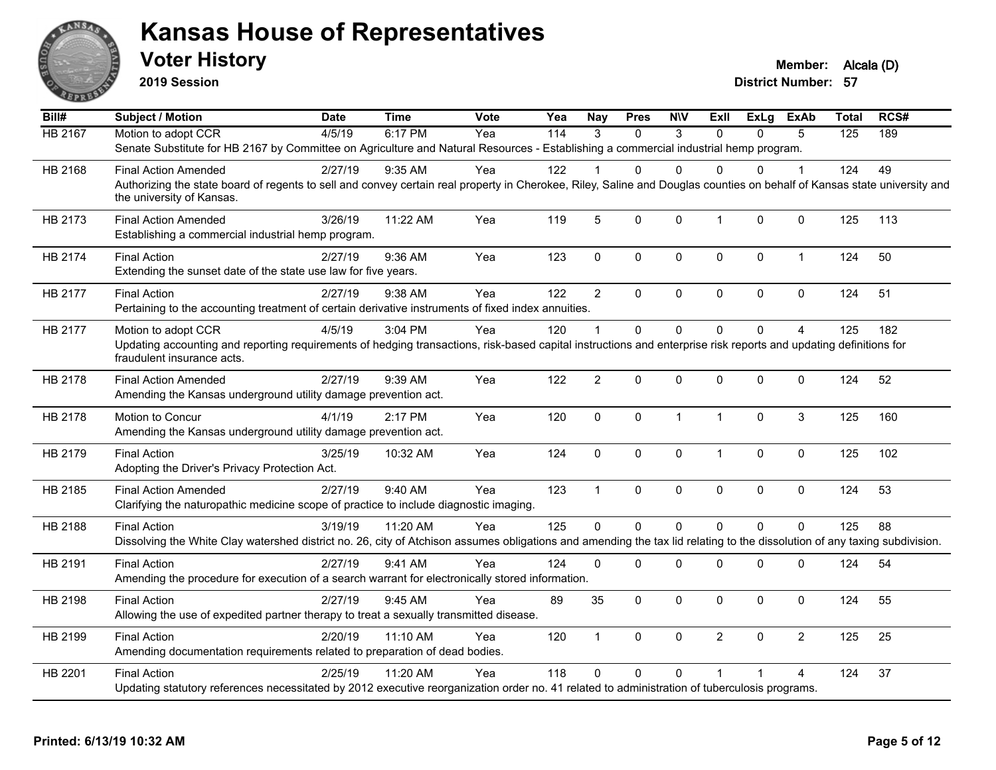

**2019 Session**

**Voter History Member: Alcala (D)** 

| Bill#          | <b>Subject / Motion</b>                                                                                                                                                                                               | <b>Date</b> | <b>Time</b> | <b>Vote</b> | Yea | Nay            | <b>Pres</b>  | <b>NIV</b>   | ExII           | ExLg         | <b>ExAb</b>    | <b>Total</b> | RCS# |
|----------------|-----------------------------------------------------------------------------------------------------------------------------------------------------------------------------------------------------------------------|-------------|-------------|-------------|-----|----------------|--------------|--------------|----------------|--------------|----------------|--------------|------|
| <b>HB 2167</b> | Motion to adopt CCR                                                                                                                                                                                                   | 4/5/19      | 6:17 PM     | Yea         | 114 | 3              | $\Omega$     | 3            | $\Omega$       | 0            | 5              | 125          | 189  |
|                | Senate Substitute for HB 2167 by Committee on Agriculture and Natural Resources - Establishing a commercial industrial hemp program.                                                                                  |             |             |             |     |                |              |              |                |              |                |              |      |
| HB 2168        | <b>Final Action Amended</b>                                                                                                                                                                                           | 2/27/19     | 9:35 AM     | Yea         | 122 |                | 0            | $\Omega$     | $\Omega$       | 0            | 1              | 124          | 49   |
|                | Authorizing the state board of regents to sell and convey certain real property in Cherokee, Riley, Saline and Douglas counties on behalf of Kansas state university and<br>the university of Kansas.                 |             |             |             |     |                |              |              |                |              |                |              |      |
| HB 2173        | <b>Final Action Amended</b><br>Establishing a commercial industrial hemp program.                                                                                                                                     | 3/26/19     | 11:22 AM    | Yea         | 119 | 5              | 0            | 0            | $\mathbf{1}$   | 0            | 0              | 125          | 113  |
| HB 2174        | <b>Final Action</b><br>Extending the sunset date of the state use law for five years.                                                                                                                                 | 2/27/19     | 9:36 AM     | Yea         | 123 | $\mathbf 0$    | 0            | 0            | $\mathbf 0$    | 0            | $\mathbf{1}$   | 124          | 50   |
| HB 2177        | <b>Final Action</b><br>Pertaining to the accounting treatment of certain derivative instruments of fixed index annuities.                                                                                             | 2/27/19     | 9:38 AM     | Yea         | 122 | $\overline{2}$ | $\Omega$     | 0            | $\mathbf 0$    | 0            | 0              | 124          | 51   |
| HB 2177        | Motion to adopt CCR<br>Updating accounting and reporting requirements of hedging transactions, risk-based capital instructions and enterprise risk reports and updating definitions for<br>fraudulent insurance acts. | 4/5/19      | 3:04 PM     | Yea         | 120 | $\mathbf{1}$   | $\Omega$     | $\Omega$     | $\Omega$       | $\Omega$     | $\overline{4}$ | 125          | 182  |
| HB 2178        | <b>Final Action Amended</b><br>Amending the Kansas underground utility damage prevention act.                                                                                                                         | 2/27/19     | 9:39 AM     | Yea         | 122 | $\overline{2}$ | 0            | 0            | $\mathbf 0$    | 0            | $\pmb{0}$      | 124          | 52   |
| HB 2178        | Motion to Concur<br>Amending the Kansas underground utility damage prevention act.                                                                                                                                    | 4/1/19      | 2:17 PM     | Yea         | 120 | $\mathbf 0$    | $\mathbf{0}$ | $\mathbf{1}$ | $\mathbf{1}$   | $\mathbf{0}$ | 3              | 125          | 160  |
| HB 2179        | <b>Final Action</b><br>Adopting the Driver's Privacy Protection Act.                                                                                                                                                  | 3/25/19     | 10:32 AM    | Yea         | 124 | $\pmb{0}$      | 0            | 0            | $\mathbf{1}$   | 0            | 0              | 125          | 102  |
| HB 2185        | <b>Final Action Amended</b><br>Clarifying the naturopathic medicine scope of practice to include diagnostic imaging.                                                                                                  | 2/27/19     | 9:40 AM     | Yea         | 123 | $\mathbf{1}$   | 0            | 0            | $\mathbf 0$    | $\mathbf 0$  | $\mathbf 0$    | 124          | 53   |
| HB 2188        | <b>Final Action</b><br>Dissolving the White Clay watershed district no. 26, city of Atchison assumes obligations and amending the tax lid relating to the dissolution of any taxing subdivision.                      | 3/19/19     | 11:20 AM    | Yea         | 125 | $\mathbf 0$    | 0            | $\mathbf 0$  | $\Omega$       | $\Omega$     | 0              | 125          | 88   |
| HB 2191        | <b>Final Action</b><br>Amending the procedure for execution of a search warrant for electronically stored information.                                                                                                | 2/27/19     | 9:41 AM     | Yea         | 124 | $\mathbf{0}$   | $\Omega$     | 0            | $\mathbf 0$    | 0            | 0              | 124          | 54   |
| HB 2198        | <b>Final Action</b><br>Allowing the use of expedited partner therapy to treat a sexually transmitted disease.                                                                                                         | 2/27/19     | 9:45 AM     | Yea         | 89  | 35             | 0            | 0            | $\mathbf 0$    | $\mathbf 0$  | $\mathbf 0$    | 124          | 55   |
| HB 2199        | <b>Final Action</b><br>Amending documentation requirements related to preparation of dead bodies.                                                                                                                     | 2/20/19     | 11:10 AM    | Yea         | 120 | $\mathbf{1}$   | $\Omega$     | 0            | $\overline{2}$ | $\Omega$     | $\overline{2}$ | 125          | 25   |
| HB 2201        | <b>Final Action</b><br>Updating statutory references necessitated by 2012 executive reorganization order no. 41 related to administration of tuberculosis programs.                                                   | 2/25/19     | 11:20 AM    | Yea         | 118 | $\Omega$       | $\mathbf{0}$ | $\mathbf 0$  |                |              | 4              | 124          | 37   |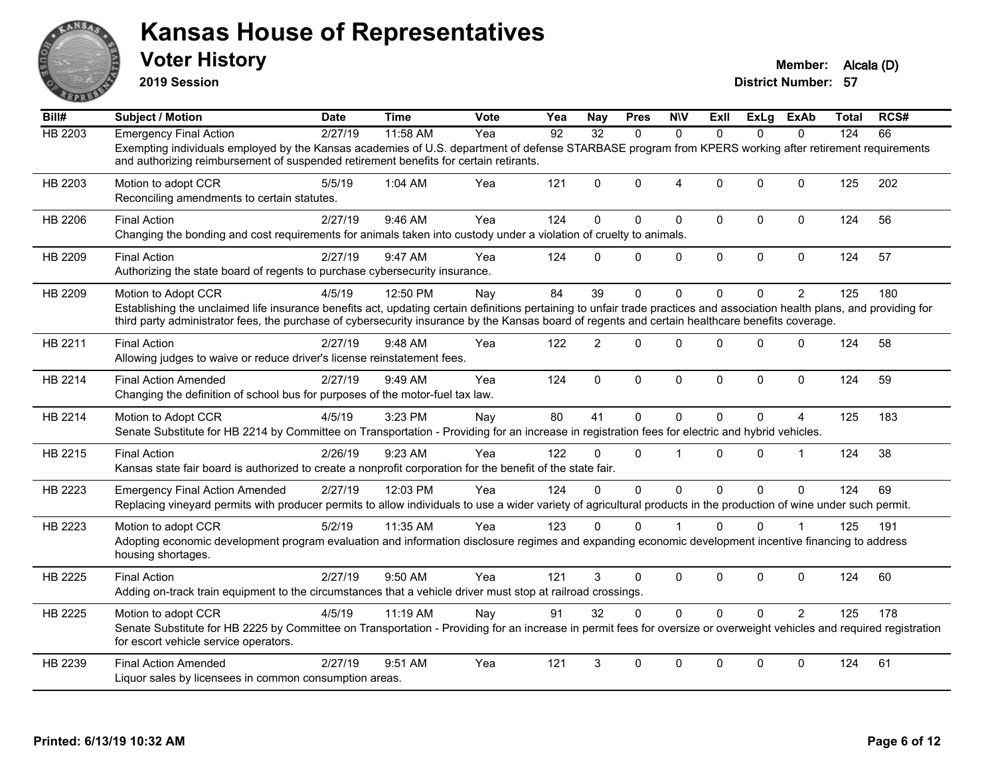

**2019 Session**

| Bill#          | <b>Subject / Motion</b>                                                                                                                                                                                                                                                                                                                              | <b>Date</b> | <b>Time</b> | <b>Vote</b> | Yea | Nav         | <b>Pres</b> | <b>NIV</b>     | ExII         | ExLg        | ExAb           | Total | RCS# |
|----------------|------------------------------------------------------------------------------------------------------------------------------------------------------------------------------------------------------------------------------------------------------------------------------------------------------------------------------------------------------|-------------|-------------|-------------|-----|-------------|-------------|----------------|--------------|-------------|----------------|-------|------|
| <b>HB 2203</b> | <b>Emergency Final Action</b>                                                                                                                                                                                                                                                                                                                        | 2/27/19     | 11:58 AM    | Yea         | 92  | 32          | $\Omega$    | $\Omega$       | $\Omega$     | $\Omega$    | $\Omega$       | 124   | 66   |
|                | Exempting individuals employed by the Kansas academies of U.S. department of defense STARBASE program from KPERS working after retirement requirements<br>and authorizing reimbursement of suspended retirement benefits for certain retirants.                                                                                                      |             |             |             |     |             |             |                |              |             |                |       |      |
| HB 2203        | Motion to adopt CCR<br>Reconciling amendments to certain statutes.                                                                                                                                                                                                                                                                                   | 5/5/19      | 1:04 AM     | Yea         | 121 | $\Omega$    | $\Omega$    | $\overline{4}$ | $\Omega$     | $\Omega$    | $\Omega$       | 125   | 202  |
| HB 2206        | <b>Final Action</b><br>Changing the bonding and cost requirements for animals taken into custody under a violation of cruelty to animals.                                                                                                                                                                                                            | 2/27/19     | 9:46 AM     | Yea         | 124 | $\Omega$    | $\Omega$    | $\mathbf 0$    | $\Omega$     | $\mathbf 0$ | $\mathbf 0$    | 124   | 56   |
| HB 2209        | <b>Final Action</b><br>Authorizing the state board of regents to purchase cybersecurity insurance.                                                                                                                                                                                                                                                   | 2/27/19     | 9:47 AM     | Yea         | 124 | $\Omega$    | 0           | $\mathbf 0$    | $\mathbf 0$  | 0           | $\pmb{0}$      | 124   | 57   |
| HB 2209        | Motion to Adopt CCR<br>Establishing the unclaimed life insurance benefits act, updating certain definitions pertaining to unfair trade practices and association health plans, and providing for<br>third party administrator fees, the purchase of cybersecurity insurance by the Kansas board of regents and certain healthcare benefits coverage. | 4/5/19      | 12:50 PM    | Nay         | 84  | 39          | $\Omega$    | $\Omega$       | $\Omega$     | $\Omega$    | $\overline{2}$ | 125   | 180  |
| HB 2211        | <b>Final Action</b><br>Allowing judges to waive or reduce driver's license reinstatement fees.                                                                                                                                                                                                                                                       | 2/27/19     | 9:48 AM     | Yea         | 122 | 2           | $\Omega$    | $\mathbf 0$    | $\Omega$     | $\Omega$    | $\mathbf 0$    | 124   | 58   |
| HB 2214        | <b>Final Action Amended</b><br>Changing the definition of school bus for purposes of the motor-fuel tax law.                                                                                                                                                                                                                                         | 2/27/19     | 9:49 AM     | Yea         | 124 | $\mathbf 0$ | $\mathbf 0$ | $\mathbf 0$    | $\mathbf{0}$ | 0           | $\mathbf 0$    | 124   | 59   |
| HB 2214        | Motion to Adopt CCR<br>Senate Substitute for HB 2214 by Committee on Transportation - Providing for an increase in registration fees for electric and hybrid vehicles.                                                                                                                                                                               | 4/5/19      | 3:23 PM     | Nav         | 80  | 41          | $\Omega$    | $\Omega$       | $\Omega$     | $\Omega$    | $\overline{A}$ | 125   | 183  |
| HB 2215        | <b>Final Action</b><br>Kansas state fair board is authorized to create a nonprofit corporation for the benefit of the state fair.                                                                                                                                                                                                                    | 2/26/19     | 9:23 AM     | Yea         | 122 | 0           | $\Omega$    | $\overline{1}$ | $\Omega$     | $\Omega$    | $\mathbf 1$    | 124   | 38   |
| HB 2223        | <b>Emergency Final Action Amended</b><br>Replacing vineyard permits with producer permits to allow individuals to use a wider variety of agricultural products in the production of wine under such permit.                                                                                                                                          | 2/27/19     | 12:03 PM    | Yea         | 124 | $\Omega$    | $\Omega$    | $\Omega$       | $\Omega$     | $\Omega$    | $\mathbf{0}$   | 124   | 69   |
| HB 2223        | Motion to adopt CCR<br>Adopting economic development program evaluation and information disclosure regimes and expanding economic development incentive financing to address<br>housing shortages.                                                                                                                                                   | 5/2/19      | 11:35 AM    | Yea         | 123 | 0           | 0           |                | $\Omega$     | 0           |                | 125   | 191  |
| HB 2225        | <b>Final Action</b><br>Adding on-track train equipment to the circumstances that a vehicle driver must stop at railroad crossings.                                                                                                                                                                                                                   | 2/27/19     | 9:50 AM     | Yea         | 121 | 3           | 0           | $\mathbf 0$    | $\Omega$     | $\Omega$    | $\mathbf 0$    | 124   | 60   |
| HB 2225        | Motion to adopt CCR<br>Senate Substitute for HB 2225 by Committee on Transportation - Providing for an increase in permit fees for oversize or overweight vehicles and required registration<br>for escort vehicle service operators.                                                                                                                | 4/5/19      | 11:19 AM    | Nay         | 91  | 32          | $\Omega$    | $\Omega$       | $\Omega$     | $\Omega$    | 2              | 125   | 178  |
| HB 2239        | <b>Final Action Amended</b><br>Liquor sales by licensees in common consumption areas.                                                                                                                                                                                                                                                                | 2/27/19     | 9:51 AM     | Yea         | 121 | 3           | 0           | $\mathbf{0}$   | $\Omega$     | $\Omega$    | $\mathbf{0}$   | 124   | 61   |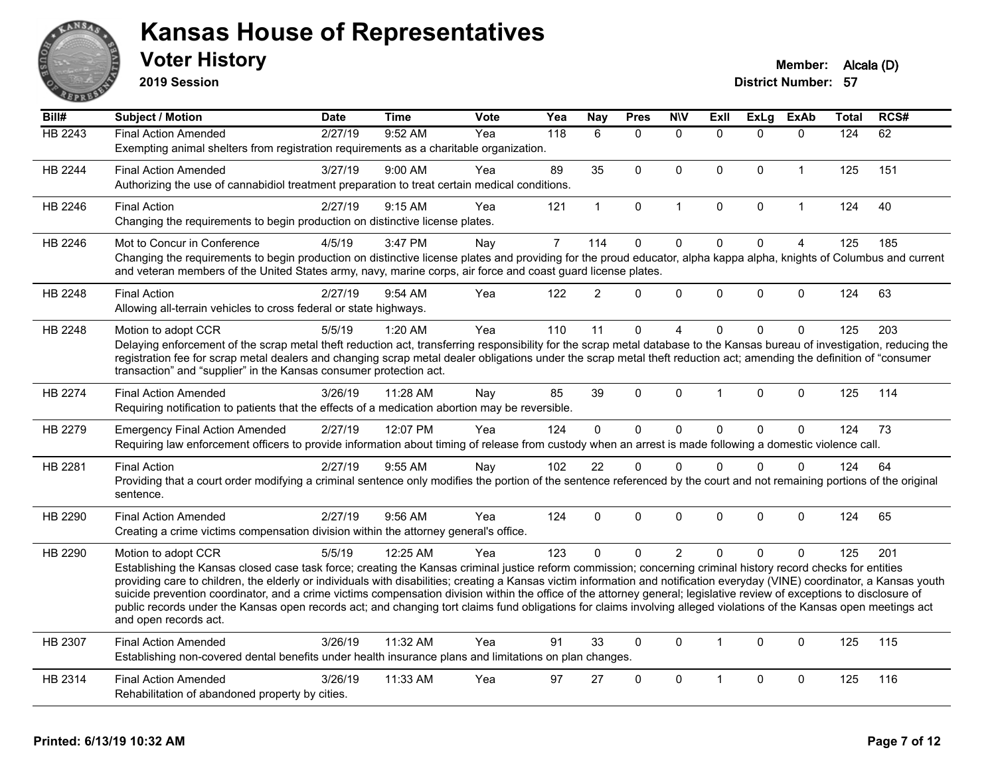

**2019 Session**

| Bill#   | <b>Subject / Motion</b>                                                                                                                                                                                                                                                                                                                               | <b>Date</b> | <b>Time</b> | Vote | Yea            | Nay            | <b>Pres</b>  | <b>NIV</b>     | <b>Exll</b>  | ExLg         | <b>ExAb</b>    | <b>Total</b> | RCS# |
|---------|-------------------------------------------------------------------------------------------------------------------------------------------------------------------------------------------------------------------------------------------------------------------------------------------------------------------------------------------------------|-------------|-------------|------|----------------|----------------|--------------|----------------|--------------|--------------|----------------|--------------|------|
| HB 2243 | <b>Final Action Amended</b>                                                                                                                                                                                                                                                                                                                           | 2/27/19     | 9:52 AM     | Yea  | 118            | 6              | $\mathbf{0}$ | $\mathbf{0}$   | $\Omega$     | $\Omega$     | $\mathbf{0}$   | 124          | 62   |
|         | Exempting animal shelters from registration requirements as a charitable organization.                                                                                                                                                                                                                                                                |             |             |      |                |                |              |                |              |              |                |              |      |
| HB 2244 | <b>Final Action Amended</b>                                                                                                                                                                                                                                                                                                                           | 3/27/19     | 9:00 AM     | Yea  | 89             | 35             | $\Omega$     | $\Omega$       | $\Omega$     | $\Omega$     | $\mathbf{1}$   | 125          | 151  |
|         | Authorizing the use of cannabidiol treatment preparation to treat certain medical conditions.                                                                                                                                                                                                                                                         |             |             |      |                |                |              |                |              |              |                |              |      |
| HB 2246 | <b>Final Action</b>                                                                                                                                                                                                                                                                                                                                   | 2/27/19     | 9:15 AM     | Yea  | 121            | $\mathbf 1$    | 0            | $\mathbf{1}$   | $\mathbf 0$  | $\mathbf 0$  | $\mathbf{1}$   | 124          | 40   |
|         | Changing the requirements to begin production on distinctive license plates.                                                                                                                                                                                                                                                                          |             |             |      |                |                |              |                |              |              |                |              |      |
| HB 2246 | Mot to Concur in Conference                                                                                                                                                                                                                                                                                                                           | 4/5/19      | 3:47 PM     | Nay  | $\overline{7}$ | 114            | $\mathbf 0$  | $\mathbf 0$    | $\mathbf 0$  | $\mathbf 0$  | $\overline{4}$ | 125          | 185  |
|         | Changing the requirements to begin production on distinctive license plates and providing for the proud educator, alpha kappa alpha, knights of Columbus and current<br>and veteran members of the United States army, navy, marine corps, air force and coast guard license plates.                                                                  |             |             |      |                |                |              |                |              |              |                |              |      |
| HB 2248 | <b>Final Action</b>                                                                                                                                                                                                                                                                                                                                   | 2/27/19     | 9:54 AM     | Yea  | 122            | $\overline{2}$ | $\mathbf{0}$ | $\mathbf{0}$   | $\Omega$     | $\Omega$     | $\mathbf{0}$   | 124          | 63   |
|         | Allowing all-terrain vehicles to cross federal or state highways.                                                                                                                                                                                                                                                                                     |             |             |      |                |                |              |                |              |              |                |              |      |
| HB 2248 | Motion to adopt CCR                                                                                                                                                                                                                                                                                                                                   | 5/5/19      | 1:20 AM     | Yea  | 110            | 11             | $\mathbf 0$  | $\overline{4}$ | $\Omega$     | 0            | $\mathbf 0$    | 125          | 203  |
|         | Delaying enforcement of the scrap metal theft reduction act, transferring responsibility for the scrap metal database to the Kansas bureau of investigation, reducing the                                                                                                                                                                             |             |             |      |                |                |              |                |              |              |                |              |      |
|         | registration fee for scrap metal dealers and changing scrap metal dealer obligations under the scrap metal theft reduction act; amending the definition of "consumer<br>transaction" and "supplier" in the Kansas consumer protection act.                                                                                                            |             |             |      |                |                |              |                |              |              |                |              |      |
|         |                                                                                                                                                                                                                                                                                                                                                       |             |             |      |                |                |              |                |              |              |                |              |      |
| HB 2274 | <b>Final Action Amended</b>                                                                                                                                                                                                                                                                                                                           | 3/26/19     | 11:28 AM    | Nav  | 85             | 39             | $\mathbf{0}$ | $\mathbf{0}$   | 1            | $\Omega$     | $\mathbf{0}$   | 125          | 114  |
|         | Requiring notification to patients that the effects of a medication abortion may be reversible.                                                                                                                                                                                                                                                       |             |             |      |                |                |              |                |              |              |                |              |      |
| HB 2279 | <b>Emergency Final Action Amended</b>                                                                                                                                                                                                                                                                                                                 | 2/27/19     | 12:07 PM    | Yea  | 124            | 0              | $\mathbf 0$  | $\pmb{0}$      | $\Omega$     | $\mathbf 0$  | $\mathbf 0$    | 124          | 73   |
|         | Requiring law enforcement officers to provide information about timing of release from custody when an arrest is made following a domestic violence call.                                                                                                                                                                                             |             |             |      |                |                |              |                |              |              |                |              |      |
| HB 2281 | <b>Final Action</b>                                                                                                                                                                                                                                                                                                                                   | 2/27/19     | 9:55 AM     | Nay  | 102            | 22             | $\mathbf 0$  | $\mathbf{0}$   | $\Omega$     | $\Omega$     | $\mathbf{0}$   | 124          | 64   |
|         | Providing that a court order modifying a criminal sentence only modifies the portion of the sentence referenced by the court and not remaining portions of the original                                                                                                                                                                               |             |             |      |                |                |              |                |              |              |                |              |      |
|         | sentence.                                                                                                                                                                                                                                                                                                                                             |             |             |      |                |                |              |                |              |              |                |              |      |
| HB 2290 | <b>Final Action Amended</b>                                                                                                                                                                                                                                                                                                                           | 2/27/19     | 9:56 AM     | Yea  | 124            | 0              | $\mathbf{0}$ | $\mathbf{0}$   | $\Omega$     | $\Omega$     | $\mathbf{0}$   | 124          | 65   |
|         | Creating a crime victims compensation division within the attorney general's office.                                                                                                                                                                                                                                                                  |             |             |      |                |                |              |                |              |              |                |              |      |
| HB 2290 | Motion to adopt CCR                                                                                                                                                                                                                                                                                                                                   | 5/5/19      | 12:25 AM    | Yea  | 123            | $\Omega$       | $\mathbf{0}$ | 2              | $\Omega$     | $\Omega$     | $\mathbf{0}$   | 125          | 201  |
|         | Establishing the Kansas closed case task force; creating the Kansas criminal justice reform commission; concerning criminal history record checks for entities                                                                                                                                                                                        |             |             |      |                |                |              |                |              |              |                |              |      |
|         | providing care to children, the elderly or individuals with disabilities; creating a Kansas victim information and notification everyday (VINE) coordinator, a Kansas youth<br>suicide prevention coordinator, and a crime victims compensation division within the office of the attorney general; legislative review of exceptions to disclosure of |             |             |      |                |                |              |                |              |              |                |              |      |
|         | public records under the Kansas open records act; and changing tort claims fund obligations for claims involving alleged violations of the Kansas open meetings act                                                                                                                                                                                   |             |             |      |                |                |              |                |              |              |                |              |      |
|         | and open records act.                                                                                                                                                                                                                                                                                                                                 |             |             |      |                |                |              |                |              |              |                |              |      |
| HB 2307 | <b>Final Action Amended</b>                                                                                                                                                                                                                                                                                                                           | 3/26/19     | 11:32 AM    | Yea  | 91             | 33             | $\mathbf{0}$ | $\mathbf{0}$   | $\mathbf{1}$ | $\mathbf{0}$ | $\mathbf{0}$   | 125          | 115  |
|         | Establishing non-covered dental benefits under health insurance plans and limitations on plan changes.                                                                                                                                                                                                                                                |             |             |      |                |                |              |                |              |              |                |              |      |
| HB 2314 | <b>Final Action Amended</b>                                                                                                                                                                                                                                                                                                                           | 3/26/19     | 11:33 AM    | Yea  | 97             | 27             | $\Omega$     | $\mathbf{0}$   |              | $\Omega$     | $\mathbf{0}$   | 125          | 116  |
|         | Rehabilitation of abandoned property by cities.                                                                                                                                                                                                                                                                                                       |             |             |      |                |                |              |                |              |              |                |              |      |
|         |                                                                                                                                                                                                                                                                                                                                                       |             |             |      |                |                |              |                |              |              |                |              |      |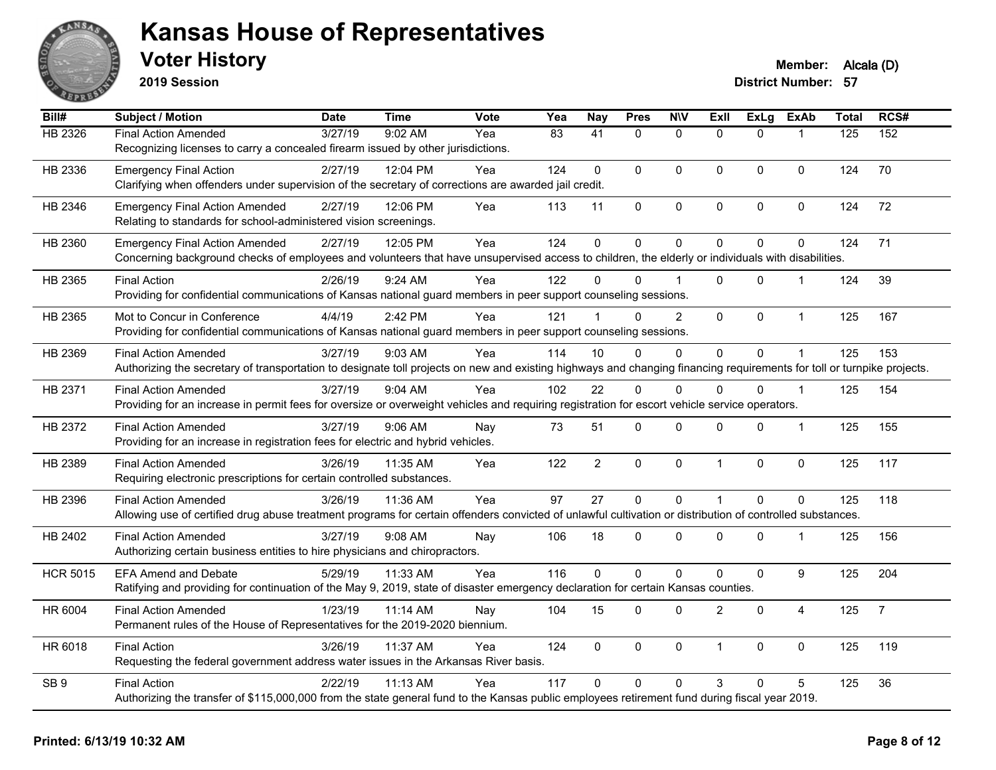

**2019 Session**

| Bill#           | <b>Subject / Motion</b>                                                                                                                                                | <b>Date</b> | <b>Time</b> | <b>Vote</b> | Yea             | <b>Nay</b>           | <b>Pres</b>  | <b>N\V</b>     | Exll           | <b>ExLg</b>    | <b>ExAb</b>    | <b>Total</b> | RCS#           |
|-----------------|------------------------------------------------------------------------------------------------------------------------------------------------------------------------|-------------|-------------|-------------|-----------------|----------------------|--------------|----------------|----------------|----------------|----------------|--------------|----------------|
| HB 2326         | <b>Final Action Amended</b>                                                                                                                                            | 3/27/19     | 9:02 AM     | Yea         | $\overline{83}$ | $\overline{41}$      | $\Omega$     | $\mathbf{0}$   | $\Omega$       | $\Omega$       |                | 125          | 152            |
|                 | Recognizing licenses to carry a concealed firearm issued by other jurisdictions.                                                                                       |             |             |             |                 |                      |              |                |                |                |                |              |                |
| HB 2336         | <b>Emergency Final Action</b>                                                                                                                                          | 2/27/19     | 12:04 PM    | Yea         | 124             | $\mathbf{0}$         | $\mathbf{0}$ | $\Omega$       | $\mathbf{0}$   | $\mathbf{0}$   | $\Omega$       | 124          | 70             |
|                 | Clarifying when offenders under supervision of the secretary of corrections are awarded jail credit.                                                                   |             |             |             |                 |                      |              |                |                |                |                |              |                |
| HB 2346         | <b>Emergency Final Action Amended</b>                                                                                                                                  | 2/27/19     | 12:06 PM    | Yea         | 113             | 11                   | 0            | $\mathsf 0$    | $\pmb{0}$      | 0              | 0              | 124          | 72             |
|                 | Relating to standards for school-administered vision screenings.                                                                                                       |             |             |             |                 |                      |              |                |                |                |                |              |                |
| HB 2360         | <b>Emergency Final Action Amended</b>                                                                                                                                  | 2/27/19     | 12:05 PM    | Yea         | 124             | $\mathbf 0$          | $\mathbf 0$  | $\mathbf 0$    | $\mathbf 0$    | 0              | $\Omega$       | 124          | 71             |
|                 | Concerning background checks of employees and volunteers that have unsupervised access to children, the elderly or individuals with disabilities.                      |             |             |             |                 |                      |              |                |                |                |                |              |                |
| HB 2365         | <b>Final Action</b>                                                                                                                                                    | 2/26/19     | 9:24 AM     | Yea         | 122             | 0                    | 0            |                | $\Omega$       | $\Omega$       | -1             | 124          | 39             |
|                 | Providing for confidential communications of Kansas national guard members in peer support counseling sessions.                                                        |             |             |             |                 |                      |              |                |                |                |                |              |                |
| HB 2365         | Mot to Concur in Conference                                                                                                                                            | 4/4/19      | 2:42 PM     | Yea         | 121             | $\blacktriangleleft$ | $\Omega$     | $\overline{2}$ | $\mathbf{0}$   | $\mathbf{0}$   | $\mathbf{1}$   | 125          | 167            |
|                 | Providing for confidential communications of Kansas national guard members in peer support counseling sessions.                                                        |             |             |             |                 |                      |              |                |                |                |                |              |                |
| HB 2369         | <b>Final Action Amended</b>                                                                                                                                            | 3/27/19     | 9:03 AM     | Yea         | 114             | 10                   | $\Omega$     | 0              | $\mathbf 0$    | 0              |                | 125          | 153            |
|                 | Authorizing the secretary of transportation to designate toll projects on new and existing highways and changing financing requirements for toll or turnpike projects. |             |             |             |                 |                      |              |                |                |                |                |              |                |
| HB 2371         | <b>Final Action Amended</b>                                                                                                                                            | 3/27/19     | 9:04 AM     | Yea         | 102             | 22                   | $\Omega$     | $\Omega$       | $\Omega$       | $\Omega$       | $\overline{1}$ | 125          | 154            |
|                 | Providing for an increase in permit fees for oversize or overweight vehicles and requiring registration for escort vehicle service operators.                          |             |             |             |                 |                      |              |                |                |                |                |              |                |
| HB 2372         | <b>Final Action Amended</b>                                                                                                                                            | 3/27/19     | 9:06 AM     | Nay         | 73              | 51                   | 0            | $\mathbf 0$    | $\mathbf 0$    | 0              | 1              | 125          | 155            |
|                 | Providing for an increase in registration fees for electric and hybrid vehicles.                                                                                       |             |             |             |                 |                      |              |                |                |                |                |              |                |
| HB 2389         | <b>Final Action Amended</b>                                                                                                                                            | 3/26/19     | 11:35 AM    | Yea         | 122             | $\overline{2}$       | 0            | $\pmb{0}$      | $\overline{1}$ | 0              | 0              | 125          | 117            |
|                 | Requiring electronic prescriptions for certain controlled substances.                                                                                                  |             |             |             |                 |                      |              |                |                |                |                |              |                |
| HB 2396         | <b>Final Action Amended</b>                                                                                                                                            | 3/26/19     | 11:36 AM    | Yea         | 97              | 27                   | $\pmb{0}$    | $\mathbf 0$    | $\overline{1}$ | $\overline{0}$ | $\mathbf 0$    | 125          | 118            |
|                 | Allowing use of certified drug abuse treatment programs for certain offenders convicted of unlawful cultivation or distribution of controlled substances.              |             |             |             |                 |                      |              |                |                |                |                |              |                |
| HB 2402         | <b>Final Action Amended</b>                                                                                                                                            | 3/27/19     | $9:08$ AM   | Nay         | 106             | 18                   | $\mathbf{0}$ | $\Omega$       | $\mathbf{0}$   | $\Omega$       | -1             | 125          | 156            |
|                 | Authorizing certain business entities to hire physicians and chiropractors.                                                                                            |             |             |             |                 |                      |              |                |                |                |                |              |                |
| <b>HCR 5015</b> | <b>EFA Amend and Debate</b>                                                                                                                                            | 5/29/19     | 11:33 AM    | Yea         | 116             | $\Omega$             | $\Omega$     | $\mathbf 0$    | $\Omega$       | $\mathbf{0}$   | 9              | 125          | 204            |
|                 | Ratifying and providing for continuation of the May 9, 2019, state of disaster emergency declaration for certain Kansas counties.                                      |             |             |             |                 |                      |              |                |                |                |                |              |                |
| HR 6004         | <b>Final Action Amended</b>                                                                                                                                            | 1/23/19     | 11:14 AM    | Nay         | 104             | 15                   | $\mathbf 0$  | 0              | $\overline{2}$ | 0              | 4              | 125          | $\overline{7}$ |
|                 | Permanent rules of the House of Representatives for the 2019-2020 biennium.                                                                                            |             |             |             |                 |                      |              |                |                |                |                |              |                |
| HR 6018         | <b>Final Action</b>                                                                                                                                                    | 3/26/19     | 11:37 AM    | Yea         | 124             | $\mathbf 0$          | $\Omega$     | $\mathbf 0$    | $\overline{1}$ | $\mathbf{0}$   | $\Omega$       | 125          | 119            |
|                 | Requesting the federal government address water issues in the Arkansas River basis.                                                                                    |             |             |             |                 |                      |              |                |                |                |                |              |                |
| SB <sub>9</sub> | <b>Final Action</b>                                                                                                                                                    | 2/22/19     | 11:13 AM    | Yea         | 117             | $\Omega$             | $\Omega$     | $\Omega$       | 3              | 0              | 5              | 125          | 36             |
|                 | Authorizing the transfer of \$115,000,000 from the state general fund to the Kansas public employees retirement fund during fiscal year 2019.                          |             |             |             |                 |                      |              |                |                |                |                |              |                |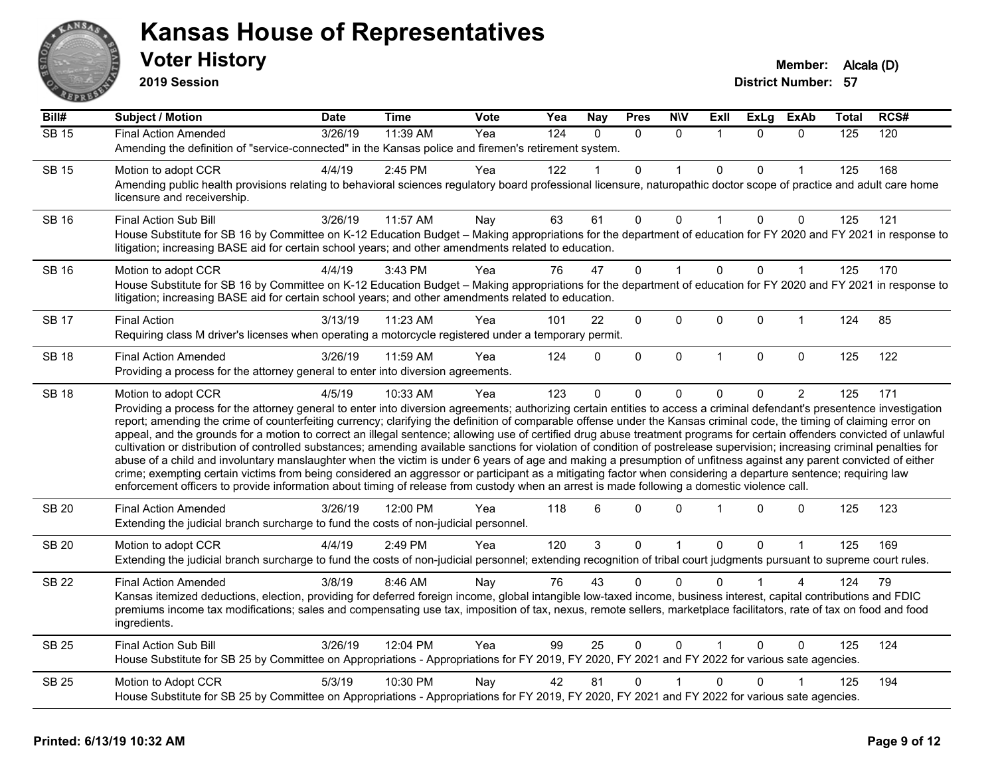

**2019 Session**

| Bill#        | <b>Subject / Motion</b>                                                                                                                                                                                                                                                                                                                                                                                                                                                                                                                                                                                                                                                                                                                                                                                                                                                                                                                                                                                                                                                                                                                                                                              | <b>Date</b> | <b>Time</b> | Vote | Yea              | <b>Nay</b> | <b>Pres</b>  | <b>N\V</b>   | ExII           | ExLg     | ExAb           | Total | RCS# |
|--------------|------------------------------------------------------------------------------------------------------------------------------------------------------------------------------------------------------------------------------------------------------------------------------------------------------------------------------------------------------------------------------------------------------------------------------------------------------------------------------------------------------------------------------------------------------------------------------------------------------------------------------------------------------------------------------------------------------------------------------------------------------------------------------------------------------------------------------------------------------------------------------------------------------------------------------------------------------------------------------------------------------------------------------------------------------------------------------------------------------------------------------------------------------------------------------------------------------|-------------|-------------|------|------------------|------------|--------------|--------------|----------------|----------|----------------|-------|------|
| <b>SB 15</b> | <b>Final Action Amended</b>                                                                                                                                                                                                                                                                                                                                                                                                                                                                                                                                                                                                                                                                                                                                                                                                                                                                                                                                                                                                                                                                                                                                                                          | 3/26/19     | 11:39 AM    | Yea  | $\overline{124}$ | $\Omega$   | $\Omega$     | $\Omega$     | $\overline{1}$ | $\Omega$ | $\Omega$       | 125   | 120  |
|              | Amending the definition of "service-connected" in the Kansas police and firemen's retirement system.                                                                                                                                                                                                                                                                                                                                                                                                                                                                                                                                                                                                                                                                                                                                                                                                                                                                                                                                                                                                                                                                                                 |             |             |      |                  |            |              |              |                |          |                |       |      |
| <b>SB 15</b> | Motion to adopt CCR                                                                                                                                                                                                                                                                                                                                                                                                                                                                                                                                                                                                                                                                                                                                                                                                                                                                                                                                                                                                                                                                                                                                                                                  | 4/4/19      | $2:45$ PM   | Yea  | 122              |            | 0            | 1            | $\mathbf{0}$   | 0        |                | 125   | 168  |
|              | Amending public health provisions relating to behavioral sciences regulatory board professional licensure, naturopathic doctor scope of practice and adult care home<br>licensure and receivership.                                                                                                                                                                                                                                                                                                                                                                                                                                                                                                                                                                                                                                                                                                                                                                                                                                                                                                                                                                                                  |             |             |      |                  |            |              |              |                |          |                |       |      |
| <b>SB 16</b> | <b>Final Action Sub Bill</b>                                                                                                                                                                                                                                                                                                                                                                                                                                                                                                                                                                                                                                                                                                                                                                                                                                                                                                                                                                                                                                                                                                                                                                         | 3/26/19     | 11:57 AM    | Nay  | 63               | 61         | 0            | $\Omega$     | $\mathbf{1}$   | 0        | $\mathbf 0$    | 125   | 121  |
|              | House Substitute for SB 16 by Committee on K-12 Education Budget - Making appropriations for the department of education for FY 2020 and FY 2021 in response to<br>litigation; increasing BASE aid for certain school years; and other amendments related to education.                                                                                                                                                                                                                                                                                                                                                                                                                                                                                                                                                                                                                                                                                                                                                                                                                                                                                                                              |             |             |      |                  |            |              |              |                |          |                |       |      |
| <b>SB 16</b> | Motion to adopt CCR                                                                                                                                                                                                                                                                                                                                                                                                                                                                                                                                                                                                                                                                                                                                                                                                                                                                                                                                                                                                                                                                                                                                                                                  | 4/4/19      | 3:43 PM     | Yea  | 76               | 47         | 0            | $\mathbf 1$  | $\mathbf{0}$   | 0        | 1              | 125   | 170  |
|              | House Substitute for SB 16 by Committee on K-12 Education Budget - Making appropriations for the department of education for FY 2020 and FY 2021 in response to<br>litigation; increasing BASE aid for certain school years; and other amendments related to education.                                                                                                                                                                                                                                                                                                                                                                                                                                                                                                                                                                                                                                                                                                                                                                                                                                                                                                                              |             |             |      |                  |            |              |              |                |          |                |       |      |
| <b>SB 17</b> | <b>Final Action</b>                                                                                                                                                                                                                                                                                                                                                                                                                                                                                                                                                                                                                                                                                                                                                                                                                                                                                                                                                                                                                                                                                                                                                                                  | 3/13/19     | 11:23 AM    | Yea  | 101              | 22         | 0            | 0            | $\mathbf 0$    | 0        | $\mathbf{1}$   | 124   | 85   |
|              | Requiring class M driver's licenses when operating a motorcycle registered under a temporary permit.                                                                                                                                                                                                                                                                                                                                                                                                                                                                                                                                                                                                                                                                                                                                                                                                                                                                                                                                                                                                                                                                                                 |             |             |      |                  |            |              |              |                |          |                |       |      |
| <b>SB 18</b> | <b>Final Action Amended</b>                                                                                                                                                                                                                                                                                                                                                                                                                                                                                                                                                                                                                                                                                                                                                                                                                                                                                                                                                                                                                                                                                                                                                                          | 3/26/19     | 11:59 AM    | Yea  | 124              | $\Omega$   | $\Omega$     | $\mathbf 0$  | $\mathbf{1}$   | $\Omega$ | 0              | 125   | 122  |
|              | Providing a process for the attorney general to enter into diversion agreements.                                                                                                                                                                                                                                                                                                                                                                                                                                                                                                                                                                                                                                                                                                                                                                                                                                                                                                                                                                                                                                                                                                                     |             |             |      |                  |            |              |              |                |          |                |       |      |
| <b>SB 18</b> | Motion to adopt CCR                                                                                                                                                                                                                                                                                                                                                                                                                                                                                                                                                                                                                                                                                                                                                                                                                                                                                                                                                                                                                                                                                                                                                                                  | 4/5/19      | 10:33 AM    | Yea  | 123              | $\Omega$   | 0            | $\Omega$     | $\Omega$       | 0        | $\overline{c}$ | 125   | 171  |
|              | Providing a process for the attorney general to enter into diversion agreements; authorizing certain entities to access a criminal defendant's presentence investigation<br>report; amending the crime of counterfeiting currency; clarifying the definition of comparable offense under the Kansas criminal code, the timing of claiming error on<br>appeal, and the grounds for a motion to correct an illegal sentence; allowing use of certified drug abuse treatment programs for certain offenders convicted of unlawful<br>cultivation or distribution of controlled substances; amending available sanctions for violation of condition of postrelease supervision; increasing criminal penalties for<br>abuse of a child and involuntary manslaughter when the victim is under 6 years of age and making a presumption of unfitness against any parent convicted of either<br>crime; exempting certain victims from being considered an aggressor or participant as a mitigating factor when considering a departure sentence; requiring law<br>enforcement officers to provide information about timing of release from custody when an arrest is made following a domestic violence call. |             |             |      |                  |            |              |              |                |          |                |       |      |
| <b>SB 20</b> | <b>Final Action Amended</b><br>Extending the judicial branch surcharge to fund the costs of non-judicial personnel.                                                                                                                                                                                                                                                                                                                                                                                                                                                                                                                                                                                                                                                                                                                                                                                                                                                                                                                                                                                                                                                                                  | 3/26/19     | 12:00 PM    | Yea  | 118              | 6          | 0            | $\Omega$     |                | $\Omega$ | $\mathbf 0$    | 125   | 123  |
| <b>SB 20</b> | Motion to adopt CCR                                                                                                                                                                                                                                                                                                                                                                                                                                                                                                                                                                                                                                                                                                                                                                                                                                                                                                                                                                                                                                                                                                                                                                                  | 4/4/19      | 2:49 PM     | Yea  | 120              | 3          | 0            | $\mathbf{1}$ | $\mathbf{0}$   | 0        | $\mathbf{1}$   | 125   | 169  |
|              | Extending the judicial branch surcharge to fund the costs of non-judicial personnel; extending recognition of tribal court judgments pursuant to supreme court rules.                                                                                                                                                                                                                                                                                                                                                                                                                                                                                                                                                                                                                                                                                                                                                                                                                                                                                                                                                                                                                                |             |             |      |                  |            |              |              |                |          |                |       |      |
| <b>SB 22</b> | <b>Final Action Amended</b>                                                                                                                                                                                                                                                                                                                                                                                                                                                                                                                                                                                                                                                                                                                                                                                                                                                                                                                                                                                                                                                                                                                                                                          | 3/8/19      | 8:46 AM     | Nay  | 76               | 43         | $\Omega$     | $\Omega$     | <sup>0</sup>   |          | 4              | 124   | 79   |
|              | Kansas itemized deductions, election, providing for deferred foreign income, global intangible low-taxed income, business interest, capital contributions and FDIC<br>premiums income tax modifications; sales and compensating use tax, imposition of tax, nexus, remote sellers, marketplace facilitators, rate of tax on food and food<br>ingredients.                                                                                                                                                                                                                                                                                                                                                                                                                                                                                                                                                                                                                                                                                                                                                                                                                                            |             |             |      |                  |            |              |              |                |          |                |       |      |
| <b>SB 25</b> | <b>Final Action Sub Bill</b>                                                                                                                                                                                                                                                                                                                                                                                                                                                                                                                                                                                                                                                                                                                                                                                                                                                                                                                                                                                                                                                                                                                                                                         | 3/26/19     | 12:04 PM    | Yea  | 99               | 25         | $\mathbf{0}$ | $\mathbf{0}$ | $\overline{1}$ | $\Omega$ | $\Omega$       | 125   | 124  |
|              | House Substitute for SB 25 by Committee on Appropriations - Appropriations for FY 2019, FY 2020, FY 2021 and FY 2022 for various sate agencies.                                                                                                                                                                                                                                                                                                                                                                                                                                                                                                                                                                                                                                                                                                                                                                                                                                                                                                                                                                                                                                                      |             |             |      |                  |            |              |              |                |          |                |       |      |
| <b>SB 25</b> | Motion to Adopt CCR                                                                                                                                                                                                                                                                                                                                                                                                                                                                                                                                                                                                                                                                                                                                                                                                                                                                                                                                                                                                                                                                                                                                                                                  | 5/3/19      | 10:30 PM    | Nay  | 42               | 81         | 0            |              | $\mathbf{0}$   | 0        |                | 125   | 194  |
|              | House Substitute for SB 25 by Committee on Appropriations - Appropriations for FY 2019, FY 2020, FY 2021 and FY 2022 for various sate agencies.                                                                                                                                                                                                                                                                                                                                                                                                                                                                                                                                                                                                                                                                                                                                                                                                                                                                                                                                                                                                                                                      |             |             |      |                  |            |              |              |                |          |                |       |      |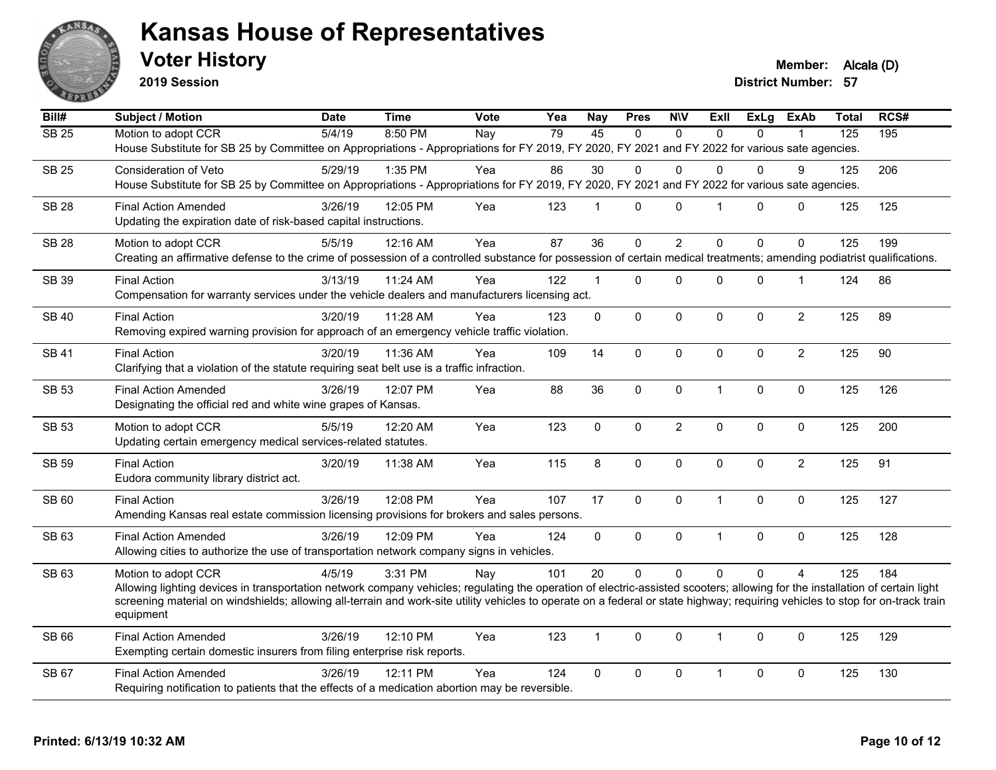

**2019 Session**

**Voter History Member:** Alcala (D)

| Bill#        | Subject / Motion                                                                                                                                                               | <b>Date</b> | <b>Time</b> | Vote | Yea | <b>Nay</b>     | <b>Pres</b>    | <b>NIV</b>     | ExII           | ExLg         | <b>ExAb</b>    | Total            | RCS# |
|--------------|--------------------------------------------------------------------------------------------------------------------------------------------------------------------------------|-------------|-------------|------|-----|----------------|----------------|----------------|----------------|--------------|----------------|------------------|------|
| <b>SB 25</b> | Motion to adopt CCR                                                                                                                                                            | 5/4/19      | 8:50 PM     | Nay  | 79  | 45             | $\Omega$       | $\Omega$       | $\Omega$       | $\Omega$     |                | $\overline{125}$ | 195  |
|              | House Substitute for SB 25 by Committee on Appropriations - Appropriations for FY 2019, FY 2020, FY 2021 and FY 2022 for various sate agencies.                                |             |             |      |     |                |                |                |                |              |                |                  |      |
| <b>SB 25</b> | Consideration of Veto                                                                                                                                                          | 5/29/19     | 1:35 PM     | Yea  | 86  | 30             | $\Omega$       | $\Omega$       | $\Omega$       | $\Omega$     | 9              | 125              | 206  |
|              | House Substitute for SB 25 by Committee on Appropriations - Appropriations for FY 2019, FY 2020, FY 2021 and FY 2022 for various sate agencies.                                |             |             |      |     |                |                |                |                |              |                |                  |      |
| <b>SB 28</b> | <b>Final Action Amended</b>                                                                                                                                                    | 3/26/19     | 12:05 PM    | Yea  | 123 | $\mathbf{1}$   | 0              | $\mathbf{0}$   | $\overline{1}$ | $\Omega$     | 0              | 125              | 125  |
|              | Updating the expiration date of risk-based capital instructions.                                                                                                               |             |             |      |     |                |                |                |                |              |                |                  |      |
| <b>SB 28</b> | Motion to adopt CCR                                                                                                                                                            | 5/5/19      | 12:16 AM    | Yea  | 87  | 36             | $\overline{0}$ | $\overline{2}$ | $\mathbf{0}$   | $\Omega$     | $\mathbf 0$    | 125              | 199  |
|              | Creating an affirmative defense to the crime of possession of a controlled substance for possession of certain medical treatments; amending podiatrist qualifications.         |             |             |      |     |                |                |                |                |              |                |                  |      |
| SB 39        | <b>Final Action</b>                                                                                                                                                            | 3/13/19     | $11:24$ AM  | Yea  | 122 | $\overline{1}$ | $\Omega$       | $\Omega$       | $\mathbf{0}$   | $\Omega$     | $\mathbf 1$    | 124              | 86   |
|              | Compensation for warranty services under the vehicle dealers and manufacturers licensing act.                                                                                  |             |             |      |     |                |                |                |                |              |                |                  |      |
|              |                                                                                                                                                                                |             |             |      |     |                |                |                |                |              |                |                  |      |
| <b>SB 40</b> | <b>Final Action</b><br>Removing expired warning provision for approach of an emergency vehicle traffic violation.                                                              | 3/20/19     | 11:28 AM    | Yea  | 123 | $\mathbf 0$    | 0              | $\mathbf 0$    | $\mathbf 0$    | 0            | $\overline{2}$ | 125              | 89   |
|              |                                                                                                                                                                                |             |             |      |     |                |                |                |                |              |                |                  |      |
| <b>SB 41</b> | <b>Final Action</b>                                                                                                                                                            | 3/20/19     | 11:36 AM    | Yea  | 109 | 14             | $\Omega$       | $\Omega$       | $\mathbf{0}$   | $\Omega$     | $\overline{2}$ | 125              | 90   |
|              | Clarifying that a violation of the statute requiring seat belt use is a traffic infraction.                                                                                    |             |             |      |     |                |                |                |                |              |                |                  |      |
| SB 53        | <b>Final Action Amended</b>                                                                                                                                                    | 3/26/19     | 12:07 PM    | Yea  | 88  | 36             | 0              | $\pmb{0}$      | $\mathbf{1}$   | 0            | $\mathbf 0$    | 125              | 126  |
|              | Designating the official red and white wine grapes of Kansas.                                                                                                                  |             |             |      |     |                |                |                |                |              |                |                  |      |
| SB 53        | Motion to adopt CCR                                                                                                                                                            | 5/5/19      | 12:20 AM    | Yea  | 123 | $\mathsf 0$    | 0              | $\overline{c}$ | $\mathbf 0$    | 0            | 0              | 125              | 200  |
|              | Updating certain emergency medical services-related statutes.                                                                                                                  |             |             |      |     |                |                |                |                |              |                |                  |      |
| SB 59        | <b>Final Action</b>                                                                                                                                                            | 3/20/19     | 11:38 AM    | Yea  | 115 | 8              | 0              | $\mathbf 0$    | $\mathbf 0$    | $\mathbf{0}$ | $\overline{2}$ | 125              | 91   |
|              | Eudora community library district act.                                                                                                                                         |             |             |      |     |                |                |                |                |              |                |                  |      |
| SB 60        | <b>Final Action</b>                                                                                                                                                            | 3/26/19     | 12:08 PM    | Yea  | 107 | 17             | 0              | $\pmb{0}$      | $\mathbf{1}$   | 0            | $\pmb{0}$      | 125              | 127  |
|              | Amending Kansas real estate commission licensing provisions for brokers and sales persons.                                                                                     |             |             |      |     |                |                |                |                |              |                |                  |      |
| SB 63        | <b>Final Action Amended</b>                                                                                                                                                    | 3/26/19     | 12:09 PM    | Yea  | 124 | $\mathbf 0$    | 0              | $\mathbf 0$    | $\mathbf{1}$   | 0            | $\pmb{0}$      | 125              | 128  |
|              | Allowing cities to authorize the use of transportation network company signs in vehicles.                                                                                      |             |             |      |     |                |                |                |                |              |                |                  |      |
| SB 63        | Motion to adopt CCR                                                                                                                                                            | 4/5/19      | 3:31 PM     | Nay  | 101 | 20             | $\overline{0}$ | $\Omega$       | $\Omega$       | $\Omega$     | $\overline{4}$ | 125              | 184  |
|              | Allowing lighting devices in transportation network company vehicles; regulating the operation of electric-assisted scooters; allowing for the installation of certain light   |             |             |      |     |                |                |                |                |              |                |                  |      |
|              | screening material on windshields; allowing all-terrain and work-site utility vehicles to operate on a federal or state highway; requiring vehicles to stop for on-track train |             |             |      |     |                |                |                |                |              |                |                  |      |
|              | equipment                                                                                                                                                                      |             |             |      |     |                |                |                |                |              |                |                  |      |
| SB 66        | <b>Final Action Amended</b>                                                                                                                                                    | 3/26/19     | 12:10 PM    | Yea  | 123 | $\overline{1}$ | $\Omega$       | $\Omega$       | $\mathbf{1}$   | $\Omega$     | $\mathbf 0$    | 125              | 129  |
|              | Exempting certain domestic insurers from filing enterprise risk reports.                                                                                                       |             |             |      |     |                |                |                |                |              |                |                  |      |
| SB 67        | <b>Final Action Amended</b>                                                                                                                                                    | 3/26/19     | 12:11 PM    | Yea  | 124 | 0              | 0              | $\mathbf 0$    | $\mathbf{1}$   | 0            | 0              | 125              | 130  |
|              | Requiring notification to patients that the effects of a medication abortion may be reversible.                                                                                |             |             |      |     |                |                |                |                |              |                |                  |      |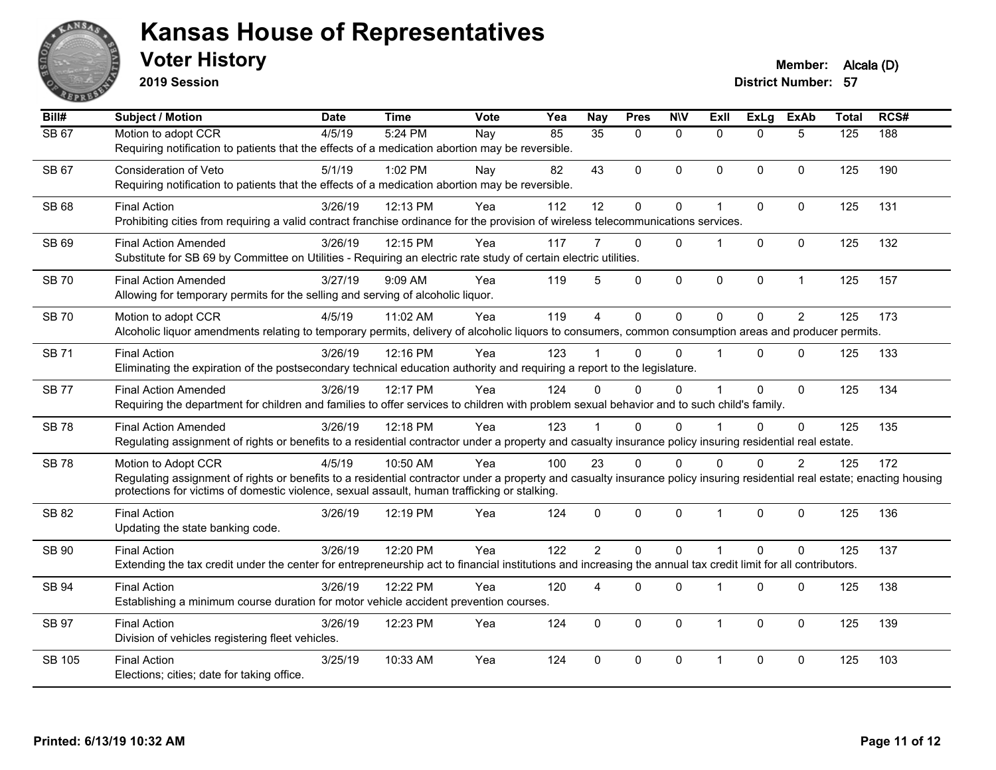

**2019 Session**

| Bill#         | <b>Subject / Motion</b>                                                                                                                                                                                                                                                                          | <b>Date</b> | <b>Time</b> | Vote | Yea | <b>Nay</b>      | <b>Pres</b>    | <b>NIV</b>   | <b>Exll</b>          | <b>ExLg</b>  | <b>ExAb</b>    | <b>Total</b> | RCS# |
|---------------|--------------------------------------------------------------------------------------------------------------------------------------------------------------------------------------------------------------------------------------------------------------------------------------------------|-------------|-------------|------|-----|-----------------|----------------|--------------|----------------------|--------------|----------------|--------------|------|
| <b>SB 67</b>  | Motion to adopt CCR<br>Requiring notification to patients that the effects of a medication abortion may be reversible.                                                                                                                                                                           | 4/5/19      | 5:24 PM     | Nay  | 85  | $\overline{35}$ | $\mathbf{0}$   | $\mathbf{0}$ | $\Omega$             | $\Omega$     | 5              | 125          | 188  |
| <b>SB67</b>   | <b>Consideration of Veto</b><br>Requiring notification to patients that the effects of a medication abortion may be reversible.                                                                                                                                                                  | 5/1/19      | 1:02 PM     | Nay  | 82  | 43              | 0              | $\mathbf{0}$ | $\Omega$             | $\Omega$     | $\mathbf{0}$   | 125          | 190  |
| <b>SB 68</b>  | <b>Final Action</b><br>Prohibiting cities from requiring a valid contract franchise ordinance for the provision of wireless telecommunications services.                                                                                                                                         | 3/26/19     | 12:13 PM    | Yea  | 112 | 12              | 0              | $\pmb{0}$    | 1                    | $\pmb{0}$    | $\pmb{0}$      | 125          | 131  |
| SB 69         | <b>Final Action Amended</b><br>Substitute for SB 69 by Committee on Utilities - Requiring an electric rate study of certain electric utilities.                                                                                                                                                  | 3/26/19     | 12:15 PM    | Yea  | 117 |                 | $\mathbf{0}$   | $\mathbf{0}$ |                      | $\Omega$     | $\mathbf{0}$   | 125          | 132  |
| <b>SB70</b>   | <b>Final Action Amended</b><br>Allowing for temporary permits for the selling and serving of alcoholic liquor.                                                                                                                                                                                   | 3/27/19     | 9:09 AM     | Yea  | 119 | 5               | 0              | $\pmb{0}$    | 0                    | $\mathbf 0$  | $\mathbf{1}$   | 125          | 157  |
| <b>SB70</b>   | Motion to adopt CCR<br>Alcoholic liquor amendments relating to temporary permits, delivery of alcoholic liquors to consumers, common consumption areas and producer permits.                                                                                                                     | 4/5/19      | 11:02 AM    | Yea  | 119 | $\overline{4}$  | $\overline{0}$ | $\mathbf 0$  | $\Omega$             | $\Omega$     | $\overline{2}$ | 125          | 173  |
| <b>SB 71</b>  | <b>Final Action</b><br>Eliminating the expiration of the postsecondary technical education authority and requiring a report to the legislature.                                                                                                                                                  | 3/26/19     | 12:16 PM    | Yea  | 123 |                 | $\Omega$       | $\Omega$     |                      | $\Omega$     | $\mathbf{0}$   | 125          | 133  |
| <b>SB77</b>   | <b>Final Action Amended</b><br>Requiring the department for children and families to offer services to children with problem sexual behavior and to such child's family.                                                                                                                         | 3/26/19     | 12:17 PM    | Yea  | 124 | $\Omega$        | $\Omega$       | 0            |                      | $\mathbf 0$  | $\mathbf 0$    | 125          | 134  |
| <b>SB78</b>   | <b>Final Action Amended</b><br>Regulating assignment of rights or benefits to a residential contractor under a property and casualty insurance policy insuring residential real estate.                                                                                                          | 3/26/19     | 12:18 PM    | Yea  | 123 |                 | 0              | $\Omega$     |                      | $\Omega$     | $\mathbf 0$    | 125          | 135  |
| <b>SB 78</b>  | Motion to Adopt CCR<br>Regulating assignment of rights or benefits to a residential contractor under a property and casualty insurance policy insuring residential real estate; enacting housing<br>protections for victims of domestic violence, sexual assault, human trafficking or stalking. | 4/5/19      | 10:50 AM    | Yea  | 100 | 23              | 0              | 0            | $\Omega$             | $\Omega$     | $\overline{c}$ | 125          | 172  |
| SB 82         | <b>Final Action</b><br>Updating the state banking code.                                                                                                                                                                                                                                          | 3/26/19     | 12:19 PM    | Yea  | 124 | $\Omega$        | $\Omega$       | $\mathbf{0}$ | $\blacktriangleleft$ | $\Omega$     | $\mathbf{0}$   | 125          | 136  |
| SB 90         | <b>Final Action</b><br>Extending the tax credit under the center for entrepreneurship act to financial institutions and increasing the annual tax credit limit for all contributors.                                                                                                             | 3/26/19     | 12:20 PM    | Yea  | 122 | $\overline{2}$  | $\Omega$       | $\Omega$     | 1                    | $\Omega$     | $\Omega$       | 125          | 137  |
| SB 94         | <b>Final Action</b><br>Establishing a minimum course duration for motor vehicle accident prevention courses.                                                                                                                                                                                     | 3/26/19     | 12:22 PM    | Yea  | 120 | 4               | $\Omega$       | $\Omega$     | 1                    | $\mathbf 0$  | $\mathbf{0}$   | 125          | 138  |
| <b>SB 97</b>  | <b>Final Action</b><br>Division of vehicles registering fleet vehicles.                                                                                                                                                                                                                          | 3/26/19     | 12:23 PM    | Yea  | 124 | $\mathbf{0}$    | $\Omega$       | $\mathbf{0}$ | -1                   | $\mathbf{0}$ | $\mathbf{0}$   | 125          | 139  |
| <b>SB 105</b> | <b>Final Action</b><br>Elections; cities; date for taking office.                                                                                                                                                                                                                                | 3/25/19     | 10:33 AM    | Yea  | 124 | $\Omega$        | $\Omega$       | $\mathbf{0}$ | $\overline{1}$       | $\Omega$     | $\mathbf{0}$   | 125          | 103  |